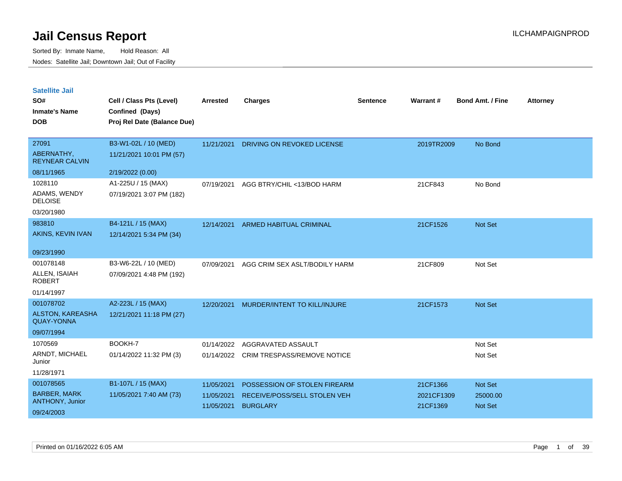| <b>Satellite Jail</b> |  |
|-----------------------|--|
|                       |  |

| SO#<br><b>Inmate's Name</b>                  | Cell / Class Pts (Level)<br>Confined (Days) | <b>Arrested</b> | <b>Charges</b>                     | <b>Sentence</b> | Warrant#   | <b>Bond Amt. / Fine</b> | <b>Attorney</b> |
|----------------------------------------------|---------------------------------------------|-----------------|------------------------------------|-----------------|------------|-------------------------|-----------------|
| <b>DOB</b>                                   | Proj Rel Date (Balance Due)                 |                 |                                    |                 |            |                         |                 |
| 27091                                        | B3-W1-02L / 10 (MED)                        | 11/21/2021      | DRIVING ON REVOKED LICENSE         |                 | 2019TR2009 | No Bond                 |                 |
| ABERNATHY,<br><b>REYNEAR CALVIN</b>          | 11/21/2021 10:01 PM (57)                    |                 |                                    |                 |            |                         |                 |
| 08/11/1965                                   | 2/19/2022 (0.00)                            |                 |                                    |                 |            |                         |                 |
| 1028110                                      | A1-225U / 15 (MAX)                          | 07/19/2021      | AGG BTRY/CHIL <13/BOD HARM         |                 | 21CF843    | No Bond                 |                 |
| ADAMS, WENDY<br><b>DELOISE</b>               | 07/19/2021 3:07 PM (182)                    |                 |                                    |                 |            |                         |                 |
| 03/20/1980                                   |                                             |                 |                                    |                 |            |                         |                 |
| 983810                                       | B4-121L / 15 (MAX)                          | 12/14/2021      | ARMED HABITUAL CRIMINAL            |                 | 21CF1526   | Not Set                 |                 |
| AKINS, KEVIN IVAN                            | 12/14/2021 5:34 PM (34)                     |                 |                                    |                 |            |                         |                 |
| 09/23/1990                                   |                                             |                 |                                    |                 |            |                         |                 |
| 001078148                                    | B3-W6-22L / 10 (MED)                        | 07/09/2021      | AGG CRIM SEX ASLT/BODILY HARM      |                 | 21CF809    | Not Set                 |                 |
| ALLEN, ISAIAH<br><b>ROBERT</b>               | 07/09/2021 4:48 PM (192)                    |                 |                                    |                 |            |                         |                 |
| 01/14/1997                                   |                                             |                 |                                    |                 |            |                         |                 |
| 001078702                                    | A2-223L / 15 (MAX)                          | 12/20/2021      | MURDER/INTENT TO KILL/INJURE       |                 | 21CF1573   | Not Set                 |                 |
| <b>ALSTON, KAREASHA</b><br><b>QUAY-YONNA</b> | 12/21/2021 11:18 PM (27)                    |                 |                                    |                 |            |                         |                 |
| 09/07/1994                                   |                                             |                 |                                    |                 |            |                         |                 |
| 1070569                                      | BOOKH-7                                     | 01/14/2022      | AGGRAVATED ASSAULT                 |                 |            | Not Set                 |                 |
| ARNDT, MICHAEL<br>Junior                     | 01/14/2022 11:32 PM (3)                     | 01/14/2022      | <b>CRIM TRESPASS/REMOVE NOTICE</b> |                 |            | Not Set                 |                 |
| 11/28/1971                                   |                                             |                 |                                    |                 |            |                         |                 |
| 001078565                                    | B1-107L / 15 (MAX)                          | 11/05/2021      | POSSESSION OF STOLEN FIREARM       |                 | 21CF1366   | Not Set                 |                 |
| <b>BARBER, MARK</b>                          | 11/05/2021 7:40 AM (73)                     | 11/05/2021      | RECEIVE/POSS/SELL STOLEN VEH       |                 | 2021CF1309 | 25000.00                |                 |
| ANTHONY, Junior                              |                                             | 11/05/2021      | <b>BURGLARY</b>                    |                 | 21CF1369   | <b>Not Set</b>          |                 |
| 09/24/2003                                   |                                             |                 |                                    |                 |            |                         |                 |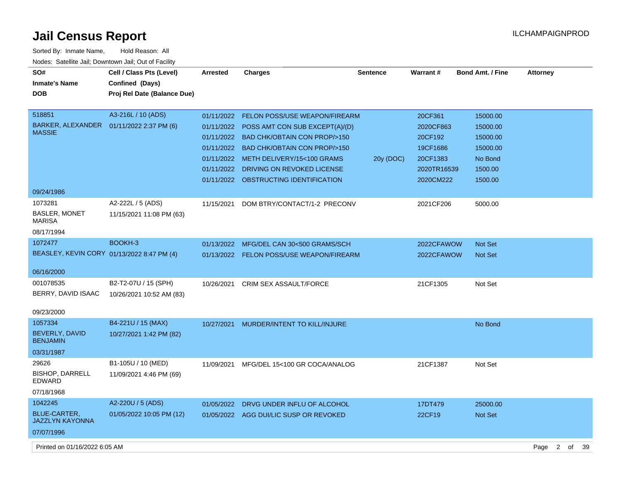$\overline{\phantom{a}}$ 

| Sorted By: Inmate Name,                               | Hold Reason: All            |                 |                                          |                 |             |                  |                 |
|-------------------------------------------------------|-----------------------------|-----------------|------------------------------------------|-----------------|-------------|------------------|-----------------|
| Nodes: Satellite Jail; Downtown Jail; Out of Facility |                             |                 |                                          |                 |             |                  |                 |
| SO#                                                   | Cell / Class Pts (Level)    | <b>Arrested</b> | <b>Charges</b>                           | <b>Sentence</b> | Warrant#    | Bond Amt. / Fine | <b>Attorney</b> |
| <b>Inmate's Name</b>                                  | Confined (Days)             |                 |                                          |                 |             |                  |                 |
| <b>DOB</b>                                            | Proj Rel Date (Balance Due) |                 |                                          |                 |             |                  |                 |
| 518851                                                | A3-216L / 10 (ADS)          | 01/11/2022      | <b>FELON POSS/USE WEAPON/FIREARM</b>     |                 | 20CF361     | 15000.00         |                 |
| BARKER, ALEXANDER  01/11/2022 2:37 PM (6)             |                             | 01/11/2022      | POSS AMT CON SUB EXCEPT(A)/(D)           |                 | 2020CF863   | 15000.00         |                 |
| <b>MASSIE</b>                                         |                             | 01/11/2022      | <b>BAD CHK/OBTAIN CON PROP/&gt;150</b>   |                 | 20CF192     | 15000.00         |                 |
|                                                       |                             | 01/11/2022      | <b>BAD CHK/OBTAIN CON PROP/&gt;150</b>   |                 | 19CF1686    | 15000.00         |                 |
|                                                       |                             | 01/11/2022      | METH DELIVERY/15<100 GRAMS               | 20y (DOC)       | 20CF1383    | No Bond          |                 |
|                                                       |                             | 01/11/2022      | DRIVING ON REVOKED LICENSE               |                 | 2020TR16539 | 1500.00          |                 |
|                                                       |                             |                 | 01/11/2022 OBSTRUCTING IDENTIFICATION    |                 | 2020CM222   | 1500.00          |                 |
| 09/24/1986                                            |                             |                 |                                          |                 |             |                  |                 |
| 1073281                                               | A2-222L / 5 (ADS)           | 11/15/2021      | DOM BTRY/CONTACT/1-2 PRECONV             |                 | 2021CF206   | 5000.00          |                 |
| <b>BASLER, MONET</b><br><b>MARISA</b>                 | 11/15/2021 11:08 PM (63)    |                 |                                          |                 |             |                  |                 |
| 08/17/1994                                            |                             |                 |                                          |                 |             |                  |                 |
| 1072477                                               | BOOKH-3                     | 01/13/2022      | MFG/DEL CAN 30<500 GRAMS/SCH             |                 | 2022CFAWOW  | <b>Not Set</b>   |                 |
| BEASLEY, KEVIN CORY 01/13/2022 8:47 PM (4)            |                             |                 | 01/13/2022 FELON POSS/USE WEAPON/FIREARM |                 | 2022CFAWOW  | <b>Not Set</b>   |                 |
| 06/16/2000                                            |                             |                 |                                          |                 |             |                  |                 |
| 001078535                                             | B2-T2-07U / 15 (SPH)        | 10/26/2021      | <b>CRIM SEX ASSAULT/FORCE</b>            |                 | 21CF1305    | Not Set          |                 |
| BERRY, DAVID ISAAC                                    | 10/26/2021 10:52 AM (83)    |                 |                                          |                 |             |                  |                 |
|                                                       |                             |                 |                                          |                 |             |                  |                 |
| 09/23/2000                                            |                             |                 |                                          |                 |             |                  |                 |
| 1057334                                               | B4-221U / 15 (MAX)          | 10/27/2021      | MURDER/INTENT TO KILL/INJURE             |                 |             | No Bond          |                 |
| BEVERLY, DAVID<br><b>BENJAMIN</b>                     | 10/27/2021 1:42 PM (82)     |                 |                                          |                 |             |                  |                 |
| 03/31/1987                                            |                             |                 |                                          |                 |             |                  |                 |
| 29626                                                 | B1-105U / 10 (MED)          | 11/09/2021      | MFG/DEL 15<100 GR COCA/ANALOG            |                 | 21CF1387    | Not Set          |                 |
| <b>BISHOP, DARRELL</b><br><b>EDWARD</b>               | 11/09/2021 4:46 PM (69)     |                 |                                          |                 |             |                  |                 |
| 07/18/1968                                            |                             |                 |                                          |                 |             |                  |                 |
| 1042245                                               | A2-220U / 5 (ADS)           | 01/05/2022      | DRVG UNDER INFLU OF ALCOHOL              |                 | 17DT479     | 25000.00         |                 |
| <b>BLUE-CARTER,</b><br><b>JAZZLYN KAYONNA</b>         | 01/05/2022 10:05 PM (12)    |                 | 01/05/2022 AGG DUI/LIC SUSP OR REVOKED   |                 | 22CF19      | Not Set          |                 |
| 07/07/1996                                            |                             |                 |                                          |                 |             |                  |                 |

Printed on 01/16/2022 6:05 AM Page 2 of 39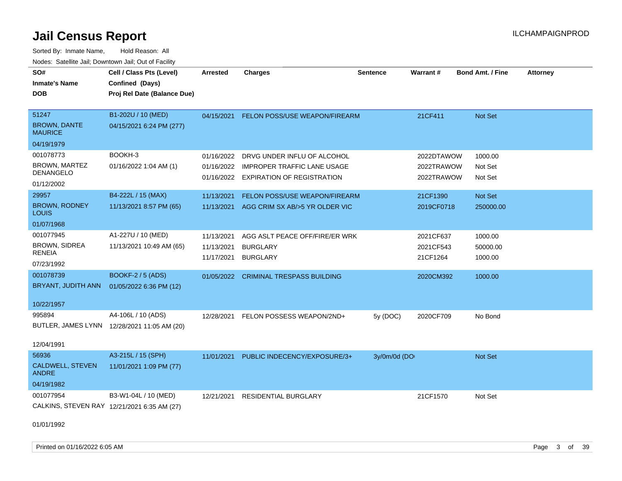Sorted By: Inmate Name, Hold Reason: All Nodes: Satellite Jail; Downtown Jail; Out of Facility

| SO#                                         | Cell / Class Pts (Level)                    | Arrested   | <b>Charges</b>                        | <b>Sentence</b> | <b>Warrant#</b> | <b>Bond Amt. / Fine</b> | <b>Attorney</b> |
|---------------------------------------------|---------------------------------------------|------------|---------------------------------------|-----------------|-----------------|-------------------------|-----------------|
| <b>Inmate's Name</b>                        | Confined (Days)                             |            |                                       |                 |                 |                         |                 |
| <b>DOB</b>                                  | Proj Rel Date (Balance Due)                 |            |                                       |                 |                 |                         |                 |
|                                             |                                             |            |                                       |                 |                 |                         |                 |
| 51247                                       | B1-202U / 10 (MED)                          | 04/15/2021 | FELON POSS/USE WEAPON/FIREARM         |                 | 21CF411         | Not Set                 |                 |
| <b>BROWN, DANTE</b><br><b>MAURICE</b>       | 04/15/2021 6:24 PM (277)                    |            |                                       |                 |                 |                         |                 |
| 04/19/1979                                  |                                             |            |                                       |                 |                 |                         |                 |
| 001078773                                   | BOOKH-3                                     | 01/16/2022 | DRVG UNDER INFLU OF ALCOHOL           |                 | 2022DTAWOW      | 1000.00                 |                 |
| <b>BROWN, MARTEZ</b>                        | 01/16/2022 1:04 AM (1)                      | 01/16/2022 | <b>IMPROPER TRAFFIC LANE USAGE</b>    |                 | 2022TRAWOW      | Not Set                 |                 |
| <b>DENANGELO</b>                            |                                             |            | 01/16/2022 EXPIRATION OF REGISTRATION |                 | 2022TRAWOW      | Not Set                 |                 |
| 01/12/2002                                  |                                             |            |                                       |                 |                 |                         |                 |
| 29957                                       | B4-222L / 15 (MAX)                          | 11/13/2021 | FELON POSS/USE WEAPON/FIREARM         |                 | 21CF1390        | <b>Not Set</b>          |                 |
| BROWN, RODNEY<br>LOUIS                      | 11/13/2021 8:57 PM (65)                     | 11/13/2021 | AGG CRIM SX AB/>5 YR OLDER VIC        |                 | 2019CF0718      | 250000.00               |                 |
| 01/07/1968                                  |                                             |            |                                       |                 |                 |                         |                 |
| 001077945                                   | A1-227U / 10 (MED)                          | 11/13/2021 | AGG ASLT PEACE OFF/FIRE/ER WRK        |                 | 2021CF637       | 1000.00                 |                 |
| <b>BROWN, SIDREA</b>                        | 11/13/2021 10:49 AM (65)                    | 11/13/2021 | <b>BURGLARY</b>                       |                 | 2021CF543       | 50000.00                |                 |
| RENEIA                                      |                                             | 11/17/2021 | <b>BURGLARY</b>                       |                 | 21CF1264        | 1000.00                 |                 |
| 07/23/1992                                  |                                             |            |                                       |                 |                 |                         |                 |
| 001078739                                   | <b>BOOKF-2 / 5 (ADS)</b>                    | 01/05/2022 | <b>CRIMINAL TRESPASS BUILDING</b>     |                 | 2020CM392       | 1000.00                 |                 |
| BRYANT, JUDITH ANN                          | 01/05/2022 6:36 PM (12)                     |            |                                       |                 |                 |                         |                 |
|                                             |                                             |            |                                       |                 |                 |                         |                 |
| 10/22/1957                                  |                                             |            |                                       |                 |                 |                         |                 |
| 995894                                      | A4-106L / 10 (ADS)                          | 12/28/2021 | FELON POSSESS WEAPON/2ND+             | 5y (DOC)        | 2020CF709       | No Bond                 |                 |
|                                             | BUTLER, JAMES LYNN 12/28/2021 11:05 AM (20) |            |                                       |                 |                 |                         |                 |
| 12/04/1991                                  |                                             |            |                                       |                 |                 |                         |                 |
| 56936                                       | A3-215L / 15 (SPH)                          | 11/01/2021 | PUBLIC INDECENCY/EXPOSURE/3+          | 3y/0m/0d (DO    |                 | <b>Not Set</b>          |                 |
| <b>CALDWELL, STEVEN</b><br><b>ANDRE</b>     | 11/01/2021 1:09 PM (77)                     |            |                                       |                 |                 |                         |                 |
| 04/19/1982                                  |                                             |            |                                       |                 |                 |                         |                 |
| 001077954                                   | B3-W1-04L / 10 (MED)                        | 12/21/2021 | RESIDENTIAL BURGLARY                  |                 | 21CF1570        | Not Set                 |                 |
| CALKINS, STEVEN RAY 12/21/2021 6:35 AM (27) |                                             |            |                                       |                 |                 |                         |                 |
|                                             |                                             |            |                                       |                 |                 |                         |                 |
| 01/01/1992                                  |                                             |            |                                       |                 |                 |                         |                 |

Printed on 01/16/2022 6:05 AM **Page 3 of 39**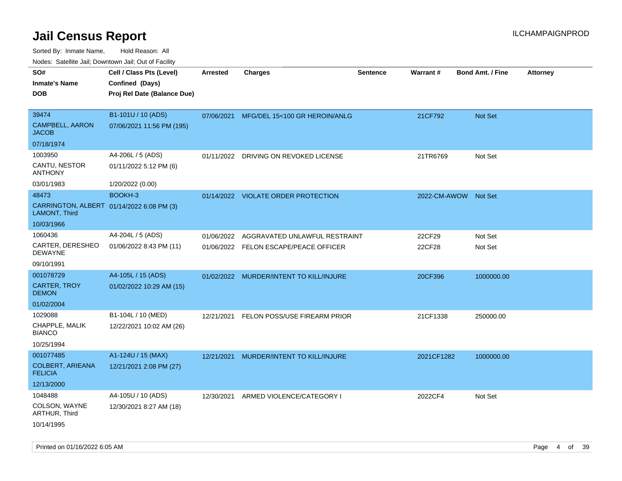| roaco. Calcinio dan, Downtown dan, Oal or Fability         |                             |                 |                                         |                 |                      |                         |                 |
|------------------------------------------------------------|-----------------------------|-----------------|-----------------------------------------|-----------------|----------------------|-------------------------|-----------------|
| SO#                                                        | Cell / Class Pts (Level)    | <b>Arrested</b> | <b>Charges</b>                          | <b>Sentence</b> | <b>Warrant#</b>      | <b>Bond Amt. / Fine</b> | <b>Attorney</b> |
| <b>Inmate's Name</b>                                       | Confined (Days)             |                 |                                         |                 |                      |                         |                 |
| DOB                                                        | Proj Rel Date (Balance Due) |                 |                                         |                 |                      |                         |                 |
|                                                            |                             |                 |                                         |                 |                      |                         |                 |
| 39474                                                      | B1-101U / 10 (ADS)          | 07/06/2021      | MFG/DEL 15<100 GR HEROIN/ANLG           |                 | 21CF792              | <b>Not Set</b>          |                 |
| <b>CAMPBELL, AARON</b><br>JACOB                            | 07/06/2021 11:56 PM (195)   |                 |                                         |                 |                      |                         |                 |
| 07/18/1974                                                 |                             |                 |                                         |                 |                      |                         |                 |
| 1003950                                                    | A4-206L / 5 (ADS)           | 01/11/2022      | DRIVING ON REVOKED LICENSE              |                 | 21TR6769             | Not Set                 |                 |
| CANTU, NESTOR<br>ANTHONY                                   | 01/11/2022 5:12 PM (6)      |                 |                                         |                 |                      |                         |                 |
| 03/01/1983                                                 | 1/20/2022 (0.00)            |                 |                                         |                 |                      |                         |                 |
| 48473                                                      | BOOKH-3                     |                 | 01/14/2022 VIOLATE ORDER PROTECTION     |                 | 2022-CM-AWOW Not Set |                         |                 |
| CARRINGTON, ALBERT 01/14/2022 6:08 PM (3)<br>LAMONT, Third |                             |                 |                                         |                 |                      |                         |                 |
| 10/03/1966                                                 |                             |                 |                                         |                 |                      |                         |                 |
| 1060436                                                    | A4-204L / 5 (ADS)           | 01/06/2022      | AGGRAVATED UNLAWFUL RESTRAINT           |                 | 22CF29               | Not Set                 |                 |
| CARTER, DERESHEO<br>DEWAYNE                                | 01/06/2022 8:43 PM (11)     |                 | 01/06/2022 FELON ESCAPE/PEACE OFFICER   |                 | 22CF28               | Not Set                 |                 |
| 09/10/1991                                                 |                             |                 |                                         |                 |                      |                         |                 |
| 001078729                                                  | A4-105L / 15 (ADS)          |                 | 01/02/2022 MURDER/INTENT TO KILL/INJURE |                 | 20CF396              | 1000000.00              |                 |
| CARTER, TROY<br><b>DEMON</b>                               | 01/02/2022 10:29 AM (15)    |                 |                                         |                 |                      |                         |                 |
| 01/02/2004                                                 |                             |                 |                                         |                 |                      |                         |                 |
| 1029088                                                    | B1-104L / 10 (MED)          | 12/21/2021      | <b>FELON POSS/USE FIREARM PRIOR</b>     |                 | 21CF1338             | 250000.00               |                 |
| CHAPPLE, MALIK<br><b>BIANCO</b>                            | 12/22/2021 10:02 AM (26)    |                 |                                         |                 |                      |                         |                 |
| 10/25/1994                                                 |                             |                 |                                         |                 |                      |                         |                 |
| 001077485                                                  | A1-124U / 15 (MAX)          | 12/21/2021      | MURDER/INTENT TO KILL/INJURE            |                 | 2021CF1282           | 1000000.00              |                 |
| <b>COLBERT, ARIEANA</b><br><b>FELICIA</b>                  | 12/21/2021 2:08 PM (27)     |                 |                                         |                 |                      |                         |                 |
| 12/13/2000                                                 |                             |                 |                                         |                 |                      |                         |                 |
| 1048488                                                    | A4-105U / 10 (ADS)          | 12/30/2021      | ARMED VIOLENCE/CATEGORY I               |                 | 2022CF4              | Not Set                 |                 |
| COLSON, WAYNE<br>ARTHUR, Third                             | 12/30/2021 8:27 AM (18)     |                 |                                         |                 |                      |                         |                 |
| 10/14/1995                                                 |                             |                 |                                         |                 |                      |                         |                 |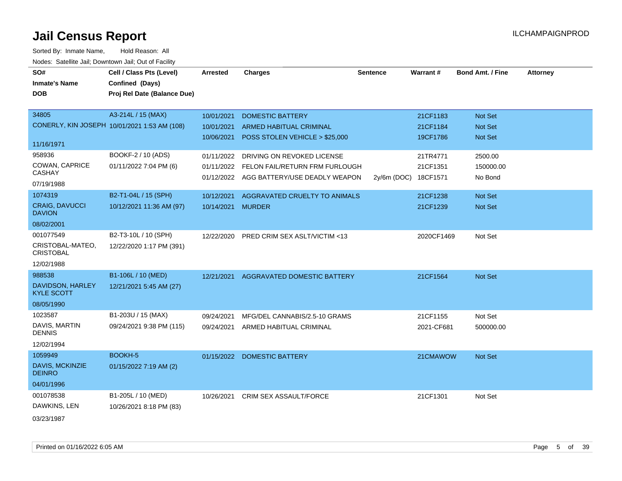| SO#                                    | Cell / Class Pts (Level)                     | <b>Arrested</b> | <b>Charges</b>                          | <b>Sentence</b> | Warrant#   | <b>Bond Amt. / Fine</b> | <b>Attorney</b> |
|----------------------------------------|----------------------------------------------|-----------------|-----------------------------------------|-----------------|------------|-------------------------|-----------------|
| <b>Inmate's Name</b>                   | Confined (Days)                              |                 |                                         |                 |            |                         |                 |
| <b>DOB</b>                             | Proj Rel Date (Balance Due)                  |                 |                                         |                 |            |                         |                 |
|                                        |                                              |                 |                                         |                 |            |                         |                 |
| 34805                                  | A3-214L / 15 (MAX)                           | 10/01/2021      | <b>DOMESTIC BATTERY</b>                 |                 | 21CF1183   | Not Set                 |                 |
|                                        | CONERLY, KIN JOSEPH 10/01/2021 1:53 AM (108) | 10/01/2021      | ARMED HABITUAL CRIMINAL                 |                 | 21CF1184   | Not Set                 |                 |
|                                        |                                              | 10/06/2021      | POSS STOLEN VEHICLE > \$25,000          |                 | 19CF1786   | Not Set                 |                 |
| 11/16/1971                             |                                              |                 |                                         |                 |            |                         |                 |
| 958936                                 | BOOKF-2 / 10 (ADS)                           | 01/11/2022      | DRIVING ON REVOKED LICENSE              |                 | 21TR4771   | 2500.00                 |                 |
| COWAN, CAPRICE<br><b>CASHAY</b>        | 01/11/2022 7:04 PM (6)                       | 01/11/2022      | FELON FAIL/RETURN FRM FURLOUGH          |                 | 21CF1351   | 150000.00               |                 |
|                                        |                                              | 01/12/2022      | AGG BATTERY/USE DEADLY WEAPON           | $2v/6m$ (DOC)   | 18CF1571   | No Bond                 |                 |
| 07/19/1988                             |                                              |                 |                                         |                 |            |                         |                 |
| 1074319                                | B2-T1-04L / 15 (SPH)                         | 10/12/2021      | AGGRAVATED CRUELTY TO ANIMALS           |                 | 21CF1238   | Not Set                 |                 |
| <b>CRAIG, DAVUCCI</b><br><b>DAVION</b> | 10/12/2021 11:36 AM (97)                     | 10/14/2021      | <b>MURDER</b>                           |                 | 21CF1239   | Not Set                 |                 |
| 08/02/2001                             |                                              |                 |                                         |                 |            |                         |                 |
| 001077549                              | B2-T3-10L / 10 (SPH)                         | 12/22/2020      | <b>PRED CRIM SEX ASLT/VICTIM &lt;13</b> |                 | 2020CF1469 | Not Set                 |                 |
| CRISTOBAL-MATEO,<br><b>CRISTOBAL</b>   | 12/22/2020 1:17 PM (391)                     |                 |                                         |                 |            |                         |                 |
| 12/02/1988                             |                                              |                 |                                         |                 |            |                         |                 |
| 988538                                 | B1-106L / 10 (MED)                           | 12/21/2021      | AGGRAVATED DOMESTIC BATTERY             |                 | 21CF1564   | Not Set                 |                 |
| DAVIDSON, HARLEY<br><b>KYLE SCOTT</b>  | 12/21/2021 5:45 AM (27)                      |                 |                                         |                 |            |                         |                 |
| 08/05/1990                             |                                              |                 |                                         |                 |            |                         |                 |
| 1023587                                | B1-203U / 15 (MAX)                           | 09/24/2021      | MFG/DEL CANNABIS/2.5-10 GRAMS           |                 | 21CF1155   | Not Set                 |                 |
| DAVIS, MARTIN<br><b>DENNIS</b>         | 09/24/2021 9:38 PM (115)                     | 09/24/2021      | ARMED HABITUAL CRIMINAL                 |                 | 2021-CF681 | 500000.00               |                 |
| 12/02/1994                             |                                              |                 |                                         |                 |            |                         |                 |
| 1059949                                | BOOKH-5                                      |                 | 01/15/2022 DOMESTIC BATTERY             |                 | 21CMAWOW   | Not Set                 |                 |
| DAVIS, MCKINZIE<br><b>DEINRO</b>       | 01/15/2022 7:19 AM (2)                       |                 |                                         |                 |            |                         |                 |
| 04/01/1996                             |                                              |                 |                                         |                 |            |                         |                 |
| 001078538                              | B1-205L / 10 (MED)                           | 10/26/2021      | <b>CRIM SEX ASSAULT/FORCE</b>           |                 | 21CF1301   | Not Set                 |                 |
| DAWKINS, LEN                           | 10/26/2021 8:18 PM (83)                      |                 |                                         |                 |            |                         |                 |
|                                        |                                              |                 |                                         |                 |            |                         |                 |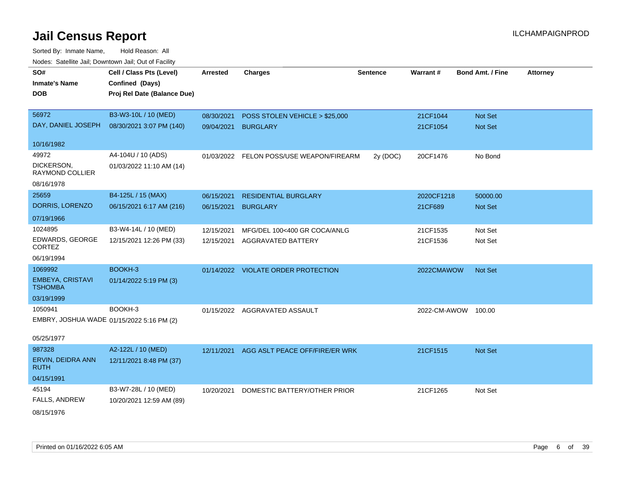| roues. Salellite Jali, Downtown Jali, Out of Facility |                             |                 |                                          |                 |                     |                         |                 |
|-------------------------------------------------------|-----------------------------|-----------------|------------------------------------------|-----------------|---------------------|-------------------------|-----------------|
| SO#                                                   | Cell / Class Pts (Level)    | <b>Arrested</b> | Charges                                  | <b>Sentence</b> | <b>Warrant#</b>     | <b>Bond Amt. / Fine</b> | <b>Attorney</b> |
| <b>Inmate's Name</b>                                  | Confined (Days)             |                 |                                          |                 |                     |                         |                 |
| <b>DOB</b>                                            | Proj Rel Date (Balance Due) |                 |                                          |                 |                     |                         |                 |
|                                                       |                             |                 |                                          |                 |                     |                         |                 |
| 56972                                                 | B3-W3-10L / 10 (MED)        | 08/30/2021      | POSS STOLEN VEHICLE > \$25,000           |                 | 21CF1044            | Not Set                 |                 |
| DAY, DANIEL JOSEPH                                    | 08/30/2021 3:07 PM (140)    | 09/04/2021      | <b>BURGLARY</b>                          |                 | 21CF1054            | <b>Not Set</b>          |                 |
| 10/16/1982                                            |                             |                 |                                          |                 |                     |                         |                 |
| 49972                                                 | A4-104U / 10 (ADS)          |                 | 01/03/2022 FELON POSS/USE WEAPON/FIREARM | 2y (DOC)        | 20CF1476            | No Bond                 |                 |
| DICKERSON,<br><b>RAYMOND COLLIER</b>                  | 01/03/2022 11:10 AM (14)    |                 |                                          |                 |                     |                         |                 |
| 08/16/1978                                            |                             |                 |                                          |                 |                     |                         |                 |
| 25659                                                 | B4-125L / 15 (MAX)          | 06/15/2021      | <b>RESIDENTIAL BURGLARY</b>              |                 | 2020CF1218          | 50000.00                |                 |
| DORRIS, LORENZO                                       | 06/15/2021 6:17 AM (216)    | 06/15/2021      | <b>BURGLARY</b>                          |                 | 21CF689             | <b>Not Set</b>          |                 |
| 07/19/1966                                            |                             |                 |                                          |                 |                     |                         |                 |
| 1024895                                               | B3-W4-14L / 10 (MED)        | 12/15/2021      | MFG/DEL 100<400 GR COCA/ANLG             |                 | 21CF1535            | Not Set                 |                 |
| EDWARDS, GEORGE<br><b>CORTEZ</b>                      | 12/15/2021 12:26 PM (33)    | 12/15/2021      | AGGRAVATED BATTERY                       |                 | 21CF1536            | Not Set                 |                 |
| 06/19/1994                                            |                             |                 |                                          |                 |                     |                         |                 |
| 1069992                                               | BOOKH-3                     |                 | 01/14/2022 VIOLATE ORDER PROTECTION      |                 | 2022CMAWOW          | <b>Not Set</b>          |                 |
| <b>EMBEYA, CRISTAVI</b><br><b>TSHOMBA</b>             | 01/14/2022 5:19 PM (3)      |                 |                                          |                 |                     |                         |                 |
| 03/19/1999                                            |                             |                 |                                          |                 |                     |                         |                 |
| 1050941                                               | BOOKH-3                     |                 | 01/15/2022 AGGRAVATED ASSAULT            |                 | 2022-CM-AWOW 100.00 |                         |                 |
| EMBRY, JOSHUA WADE 01/15/2022 5:16 PM (2)             |                             |                 |                                          |                 |                     |                         |                 |
| 05/25/1977                                            |                             |                 |                                          |                 |                     |                         |                 |
| 987328                                                | A2-122L / 10 (MED)          | 12/11/2021      | AGG ASLT PEACE OFF/FIRE/ER WRK           |                 | 21CF1515            | Not Set                 |                 |
| ERVIN, DEIDRA ANN<br><b>RUTH</b>                      | 12/11/2021 8:48 PM (37)     |                 |                                          |                 |                     |                         |                 |
| 04/15/1991                                            |                             |                 |                                          |                 |                     |                         |                 |
| 45194                                                 | B3-W7-28L / 10 (MED)        | 10/20/2021      | DOMESTIC BATTERY/OTHER PRIOR             |                 | 21CF1265            | Not Set                 |                 |
| FALLS, ANDREW                                         | 10/20/2021 12:59 AM (89)    |                 |                                          |                 |                     |                         |                 |
| 08/15/1976                                            |                             |                 |                                          |                 |                     |                         |                 |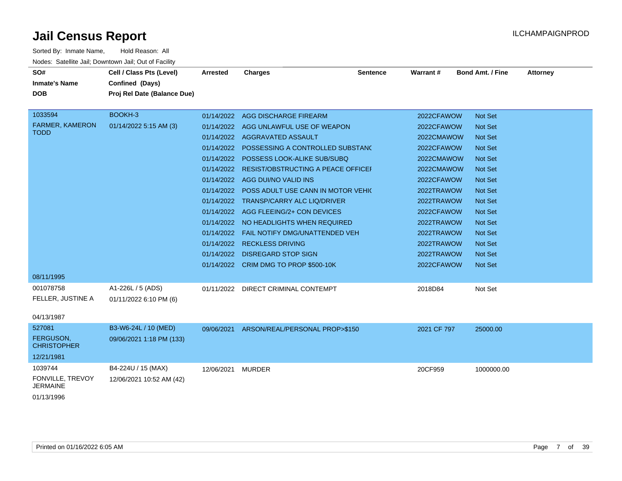| SO#                             | Cell / Class Pts (Level)    | <b>Arrested</b> | <b>Charges</b>                                | <b>Sentence</b> | Warrant#    | <b>Bond Amt. / Fine</b> | <b>Attorney</b> |
|---------------------------------|-----------------------------|-----------------|-----------------------------------------------|-----------------|-------------|-------------------------|-----------------|
| <b>Inmate's Name</b>            | Confined (Days)             |                 |                                               |                 |             |                         |                 |
| <b>DOB</b>                      | Proj Rel Date (Balance Due) |                 |                                               |                 |             |                         |                 |
|                                 |                             |                 |                                               |                 |             |                         |                 |
| 1033594                         | BOOKH-3                     |                 | 01/14/2022 AGG DISCHARGE FIREARM              |                 | 2022CFAWOW  | <b>Not Set</b>          |                 |
| <b>FARMER, KAMERON</b>          | 01/14/2022 5:15 AM (3)      |                 | 01/14/2022 AGG UNLAWFUL USE OF WEAPON         |                 | 2022CFAWOW  | <b>Not Set</b>          |                 |
| <b>TODD</b>                     |                             |                 | 01/14/2022 AGGRAVATED ASSAULT                 |                 | 2022CMAWOW  | <b>Not Set</b>          |                 |
|                                 |                             |                 | 01/14/2022 POSSESSING A CONTROLLED SUBSTANC   |                 | 2022CFAWOW  | <b>Not Set</b>          |                 |
|                                 |                             |                 | 01/14/2022 POSSESS LOOK-ALIKE SUB/SUBQ        |                 | 2022CMAWOW  | <b>Not Set</b>          |                 |
|                                 |                             |                 | 01/14/2022 RESIST/OBSTRUCTING A PEACE OFFICEH |                 | 2022CMAWOW  | <b>Not Set</b>          |                 |
|                                 |                             |                 | 01/14/2022 AGG DUI/NO VALID INS               |                 | 2022CFAWOW  | <b>Not Set</b>          |                 |
|                                 |                             |                 | 01/14/2022 POSS ADULT USE CANN IN MOTOR VEHIC |                 | 2022TRAWOW  | <b>Not Set</b>          |                 |
|                                 |                             |                 | 01/14/2022 TRANSP/CARRY ALC LIQ/DRIVER        |                 | 2022TRAWOW  | <b>Not Set</b>          |                 |
|                                 |                             |                 | 01/14/2022 AGG FLEEING/2+ CON DEVICES         |                 | 2022CFAWOW  | <b>Not Set</b>          |                 |
|                                 |                             |                 | 01/14/2022 NO HEADLIGHTS WHEN REQUIRED        |                 | 2022TRAWOW  | <b>Not Set</b>          |                 |
|                                 |                             |                 | 01/14/2022    FAIL NOTIFY DMG/UNATTENDED VEH  |                 | 2022TRAWOW  | <b>Not Set</b>          |                 |
|                                 |                             | 01/14/2022      | <b>RECKLESS DRIVING</b>                       |                 | 2022TRAWOW  | <b>Not Set</b>          |                 |
|                                 |                             |                 | 01/14/2022 DISREGARD STOP SIGN                |                 | 2022TRAWOW  | <b>Not Set</b>          |                 |
|                                 |                             |                 | 01/14/2022 CRIM DMG TO PROP \$500-10K         |                 | 2022CFAWOW  | <b>Not Set</b>          |                 |
| 08/11/1995                      |                             |                 |                                               |                 |             |                         |                 |
| 001078758                       | A1-226L / 5 (ADS)           | 01/11/2022      | DIRECT CRIMINAL CONTEMPT                      |                 | 2018D84     | Not Set                 |                 |
| FELLER, JUSTINE A               | 01/11/2022 6:10 PM (6)      |                 |                                               |                 |             |                         |                 |
|                                 |                             |                 |                                               |                 |             |                         |                 |
| 04/13/1987                      |                             |                 |                                               |                 |             |                         |                 |
| 527081                          | B3-W6-24L / 10 (MED)        |                 | 09/06/2021 ARSON/REAL/PERSONAL PROP>\$150     |                 | 2021 CF 797 | 25000.00                |                 |
| FERGUSON,<br><b>CHRISTOPHER</b> | 09/06/2021 1:18 PM (133)    |                 |                                               |                 |             |                         |                 |
|                                 |                             |                 |                                               |                 |             |                         |                 |
| 12/21/1981                      |                             |                 |                                               |                 |             |                         |                 |
| 1039744                         | B4-224U / 15 (MAX)          | 12/06/2021      | <b>MURDER</b>                                 |                 | 20CF959     | 1000000.00              |                 |
| FONVILLE, TREVOY<br>JERMAINE    | 12/06/2021 10:52 AM (42)    |                 |                                               |                 |             |                         |                 |
| 01/13/1996                      |                             |                 |                                               |                 |             |                         |                 |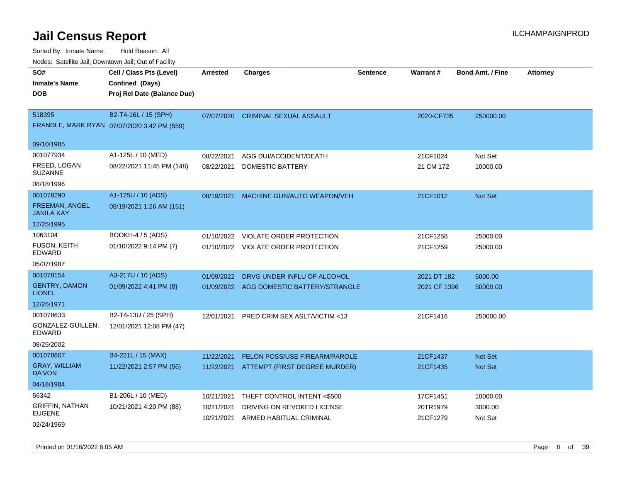| roaco. Calcinio dan, Downtown dan, Cal or Fability |                                             |            |                                     |                 |              |                         |                 |
|----------------------------------------------------|---------------------------------------------|------------|-------------------------------------|-----------------|--------------|-------------------------|-----------------|
| SO#                                                | Cell / Class Pts (Level)                    | Arrested   | <b>Charges</b>                      | <b>Sentence</b> | Warrant#     | <b>Bond Amt. / Fine</b> | <b>Attorney</b> |
| <b>Inmate's Name</b>                               | Confined (Days)                             |            |                                     |                 |              |                         |                 |
| <b>DOB</b>                                         | Proj Rel Date (Balance Due)                 |            |                                     |                 |              |                         |                 |
|                                                    |                                             |            |                                     |                 |              |                         |                 |
| 518395                                             | B2-T4-16L / 15 (SPH)                        | 07/07/2020 | <b>CRIMINAL SEXUAL ASSAULT</b>      |                 | 2020-CF735   | 250000.00               |                 |
|                                                    | FRANDLE, MARK RYAN 07/07/2020 3:42 PM (559) |            |                                     |                 |              |                         |                 |
|                                                    |                                             |            |                                     |                 |              |                         |                 |
| 09/10/1985                                         |                                             |            |                                     |                 |              |                         |                 |
| 001077934                                          | A1-125L / 10 (MED)                          | 08/22/2021 | AGG DUI/ACCIDENT/DEATH              |                 | 21CF1024     | Not Set                 |                 |
| FREED, LOGAN<br><b>SUZANNE</b>                     | 08/22/2021 11:45 PM (148)                   | 08/22/2021 | DOMESTIC BATTERY                    |                 | 21 CM 172    | 10000.00                |                 |
| 08/18/1996                                         |                                             |            |                                     |                 |              |                         |                 |
| 001078290                                          | A1-125U / 10 (ADS)                          | 08/19/2021 | MACHINE GUN/AUTO WEAPON/VEH         |                 | 21CF1012     | <b>Not Set</b>          |                 |
| <b>FREEMAN, ANGEL</b><br><b>JANILA KAY</b>         | 08/19/2021 1:26 AM (151)                    |            |                                     |                 |              |                         |                 |
| 12/25/1995                                         |                                             |            |                                     |                 |              |                         |                 |
| 1063104                                            | BOOKH-4 / 5 (ADS)                           | 01/10/2022 | VIOLATE ORDER PROTECTION            |                 | 21CF1258     | 25000.00                |                 |
| <b>FUSON, KEITH</b><br>EDWARD                      | 01/10/2022 9:14 PM (7)                      |            | 01/10/2022 VIOLATE ORDER PROTECTION |                 | 21CF1259     | 25000.00                |                 |
| 05/07/1987                                         |                                             |            |                                     |                 |              |                         |                 |
| 001078154                                          | A3-217U / 10 (ADS)                          | 01/09/2022 | DRVG UNDER INFLU OF ALCOHOL         |                 | 2021 DT 182  | 5000.00                 |                 |
| <b>GENTRY, DAMON</b><br><b>LIONEL</b>              | 01/09/2022 4:41 PM (8)                      | 01/09/2022 | AGG DOMESTIC BATTERY/STRANGLE       |                 | 2021 CF 1396 | 50000.00                |                 |
| 12/25/1971                                         |                                             |            |                                     |                 |              |                         |                 |
| 001078633                                          | B2-T4-13U / 25 (SPH)                        | 12/01/2021 | PRED CRIM SEX ASLT/VICTIM <13       |                 | 21CF1416     | 250000.00               |                 |
| GONZALEZ-GUILLEN,<br>EDWARD                        | 12/01/2021 12:08 PM (47)                    |            |                                     |                 |              |                         |                 |
| 08/25/2002                                         |                                             |            |                                     |                 |              |                         |                 |
| 001078607                                          | B4-221L / 15 (MAX)                          | 11/22/2021 | FELON POSS/USE FIREARM/PAROLE       |                 | 21CF1437     | <b>Not Set</b>          |                 |
| <b>GRAY, WILLIAM</b><br>DA'VON                     | 11/22/2021 2:57 PM (56)                     | 11/22/2021 | ATTEMPT (FIRST DEGREE MURDER)       |                 | 21CF1435     | <b>Not Set</b>          |                 |
| 04/18/1984                                         |                                             |            |                                     |                 |              |                         |                 |
| 56342                                              | B1-206L / 10 (MED)                          | 10/21/2021 | THEFT CONTROL INTENT <\$500         |                 | 17CF1451     | 10000.00                |                 |
| <b>GRIFFIN, NATHAN</b>                             | 10/21/2021 4:20 PM (88)                     | 10/21/2021 | DRIVING ON REVOKED LICENSE          |                 | 20TR1979     | 3000.00                 |                 |
| <b>EUGENE</b>                                      |                                             | 10/21/2021 | ARMED HABITUAL CRIMINAL             |                 | 21CF1279     | Not Set                 |                 |
| 02/24/1969                                         |                                             |            |                                     |                 |              |                         |                 |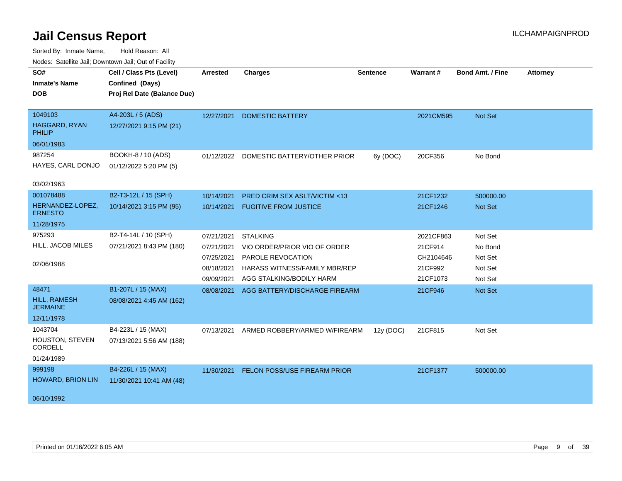| Noucs. Catchitic sail, Downtown sail, Out of Facility |                             |                 |                                         |                 |           |                         |                 |
|-------------------------------------------------------|-----------------------------|-----------------|-----------------------------------------|-----------------|-----------|-------------------------|-----------------|
| SO#                                                   | Cell / Class Pts (Level)    | <b>Arrested</b> | <b>Charges</b>                          | <b>Sentence</b> | Warrant#  | <b>Bond Amt. / Fine</b> | <b>Attorney</b> |
| <b>Inmate's Name</b>                                  | Confined (Days)             |                 |                                         |                 |           |                         |                 |
| <b>DOB</b>                                            | Proj Rel Date (Balance Due) |                 |                                         |                 |           |                         |                 |
|                                                       |                             |                 |                                         |                 |           |                         |                 |
| 1049103                                               | A4-203L / 5 (ADS)           | 12/27/2021      | <b>DOMESTIC BATTERY</b>                 |                 | 2021CM595 | Not Set                 |                 |
| <b>HAGGARD, RYAN</b><br>PHILIP                        | 12/27/2021 9:15 PM (21)     |                 |                                         |                 |           |                         |                 |
| 06/01/1983                                            |                             |                 |                                         |                 |           |                         |                 |
| 987254                                                | BOOKH-8 / 10 (ADS)          |                 | 01/12/2022 DOMESTIC BATTERY/OTHER PRIOR | 6y (DOC)        | 20CF356   | No Bond                 |                 |
| HAYES, CARL DONJO                                     | 01/12/2022 5:20 PM (5)      |                 |                                         |                 |           |                         |                 |
| 03/02/1963                                            |                             |                 |                                         |                 |           |                         |                 |
| 001078488                                             | B2-T3-12L / 15 (SPH)        | 10/14/2021      | <b>PRED CRIM SEX ASLT/VICTIM &lt;13</b> |                 | 21CF1232  | 500000.00               |                 |
| HERNANDEZ-LOPEZ,<br><b>ERNESTO</b>                    | 10/14/2021 3:15 PM (95)     | 10/14/2021      | <b>FUGITIVE FROM JUSTICE</b>            |                 | 21CF1246  | <b>Not Set</b>          |                 |
| 11/28/1975                                            |                             |                 |                                         |                 |           |                         |                 |
| 975293                                                | B2-T4-14L / 10 (SPH)        | 07/21/2021      | <b>STALKING</b>                         |                 | 2021CF863 | Not Set                 |                 |
| HILL, JACOB MILES                                     | 07/21/2021 8:43 PM (180)    | 07/21/2021      | VIO ORDER/PRIOR VIO OF ORDER            |                 | 21CF914   | No Bond                 |                 |
|                                                       |                             | 07/25/2021      | PAROLE REVOCATION                       |                 | CH2104646 | Not Set                 |                 |
| 02/06/1988                                            |                             | 08/18/2021      | HARASS WITNESS/FAMILY MBR/REP           |                 | 21CF992   | Not Set                 |                 |
|                                                       |                             | 09/09/2021      | AGG STALKING/BODILY HARM                |                 | 21CF1073  | Not Set                 |                 |
| 48471                                                 | B1-207L / 15 (MAX)          | 08/08/2021      | AGG BATTERY/DISCHARGE FIREARM           |                 | 21CF946   | Not Set                 |                 |
| HILL, RAMESH<br><b>JERMAINE</b>                       | 08/08/2021 4:45 AM (162)    |                 |                                         |                 |           |                         |                 |
| 12/11/1978                                            |                             |                 |                                         |                 |           |                         |                 |
| 1043704                                               | B4-223L / 15 (MAX)          | 07/13/2021      | ARMED ROBBERY/ARMED W/FIREARM           | 12y (DOC)       | 21CF815   | Not Set                 |                 |
| HOUSTON, STEVEN<br><b>CORDELL</b>                     | 07/13/2021 5:56 AM (188)    |                 |                                         |                 |           |                         |                 |
| 01/24/1989                                            |                             |                 |                                         |                 |           |                         |                 |
| 999198                                                | B4-226L / 15 (MAX)          | 11/30/2021      | <b>FELON POSS/USE FIREARM PRIOR</b>     |                 | 21CF1377  | 500000.00               |                 |
| HOWARD, BRION LIN                                     | 11/30/2021 10:41 AM (48)    |                 |                                         |                 |           |                         |                 |
|                                                       |                             |                 |                                         |                 |           |                         |                 |
| 06/10/1992                                            |                             |                 |                                         |                 |           |                         |                 |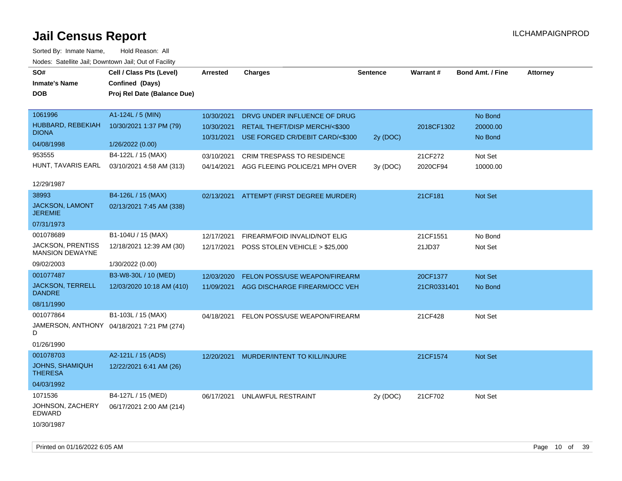| 1061996<br>A1-124L / 5 (MIN)<br>10/30/2021<br>DRVG UNDER INFLUENCE OF DRUG<br>No Bond<br>HUBBARD, REBEKIAH<br>10/30/2021 1:37 PM (79)<br>RETAIL THEFT/DISP MERCH/<\$300<br>2018CF1302<br>20000.00<br>10/30/2021<br><b>DIONA</b>                              |  |
|--------------------------------------------------------------------------------------------------------------------------------------------------------------------------------------------------------------------------------------------------------------|--|
| 10/31/2021<br>USE FORGED CR/DEBIT CARD/<\$300<br>2y (DOC)<br>No Bond<br>04/08/1998<br>1/26/2022 (0.00)                                                                                                                                                       |  |
| 953555<br>B4-122L / 15 (MAX)<br>CRIM TRESPASS TO RESIDENCE<br>Not Set<br>03/10/2021<br>21CF272<br>HUNT, TAVARIS EARL<br>03/10/2021 4:58 AM (313)<br>AGG FLEEING POLICE/21 MPH OVER<br>2020CF94<br>04/14/2021<br>3y (DOC)<br>10000.00                         |  |
| 12/29/1987                                                                                                                                                                                                                                                   |  |
| 38993<br>B4-126L / 15 (MAX)<br>02/13/2021 ATTEMPT (FIRST DEGREE MURDER)<br>21CF181<br>Not Set<br><b>JACKSON, LAMONT</b><br>02/13/2021 7:45 AM (338)<br><b>JEREMIE</b>                                                                                        |  |
| 07/31/1973                                                                                                                                                                                                                                                   |  |
| 001078689<br>B1-104U / 15 (MAX)<br>No Bond<br>12/17/2021<br>FIREARM/FOID INVALID/NOT ELIG<br>21CF1551<br><b>JACKSON, PRENTISS</b><br>12/18/2021 12:39 AM (30)<br>12/17/2021<br>POSS STOLEN VEHICLE > \$25,000<br>21JD37<br>Not Set<br><b>MANSION DEWAYNE</b> |  |
| 09/02/2003<br>1/30/2022 (0.00)                                                                                                                                                                                                                               |  |
| 001077487<br>B3-W8-30L / 10 (MED)<br>FELON POSS/USE WEAPON/FIREARM<br>Not Set<br>12/03/2020<br>20CF1377                                                                                                                                                      |  |
| <b>JACKSON, TERRELL</b><br>12/03/2020 10:18 AM (410)<br>11/09/2021 AGG DISCHARGE FIREARM/OCC VEH<br>21CR0331401<br>No Bond<br><b>DANDRE</b>                                                                                                                  |  |
| 08/11/1990                                                                                                                                                                                                                                                   |  |
| 001077864<br>B1-103L / 15 (MAX)<br>21CF428<br>04/18/2021<br>FELON POSS/USE WEAPON/FIREARM<br>Not Set<br>JAMERSON, ANTHONY 04/18/2021 7:21 PM (274)<br>D<br>01/26/1990                                                                                        |  |
| 001078703<br>A2-121L / 15 (ADS)<br>12/20/2021 MURDER/INTENT TO KILL/INJURE<br>21CF1574<br>Not Set                                                                                                                                                            |  |
| JOHNS, SHAMIQUH<br>12/22/2021 6:41 AM (26)<br><b>THERESA</b>                                                                                                                                                                                                 |  |
| 04/03/1992                                                                                                                                                                                                                                                   |  |
| 1071536<br>B4-127L / 15 (MED)<br>06/17/2021<br>UNLAWFUL RESTRAINT<br>2y (DOC)<br>21CF702<br>Not Set<br>JOHNSON, ZACHERY<br>06/17/2021 2:00 AM (214)<br>EDWARD<br>10/30/1987                                                                                  |  |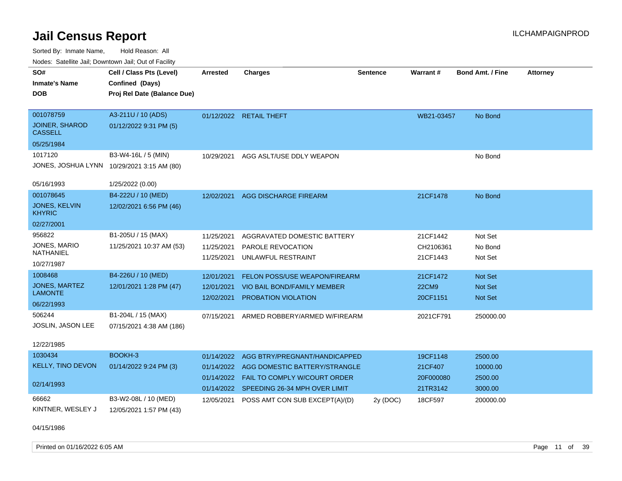Sorted By: Inmate Name, Hold Reason: All Nodes: Satellite Jail; Downtown Jail; Out of Facility

| <b>Nouted:</b> Catomic Can, Downtown Can, Out of Fability |                                            |                 |                                           |                 |              |                         |                 |
|-----------------------------------------------------------|--------------------------------------------|-----------------|-------------------------------------------|-----------------|--------------|-------------------------|-----------------|
| SO#                                                       | Cell / Class Pts (Level)                   | <b>Arrested</b> | <b>Charges</b>                            | <b>Sentence</b> | Warrant#     | <b>Bond Amt. / Fine</b> | <b>Attorney</b> |
| <b>Inmate's Name</b>                                      | Confined (Days)                            |                 |                                           |                 |              |                         |                 |
| <b>DOB</b>                                                | Proj Rel Date (Balance Due)                |                 |                                           |                 |              |                         |                 |
|                                                           |                                            |                 |                                           |                 |              |                         |                 |
| 001078759                                                 | A3-211U / 10 (ADS)                         |                 | 01/12/2022 RETAIL THEFT                   |                 | WB21-03457   | No Bond                 |                 |
| <b>JOINER, SHAROD</b><br><b>CASSELL</b>                   | 01/12/2022 9:31 PM (5)                     |                 |                                           |                 |              |                         |                 |
| 05/25/1984                                                |                                            |                 |                                           |                 |              |                         |                 |
| 1017120                                                   | B3-W4-16L / 5 (MIN)                        | 10/29/2021      | AGG ASLT/USE DDLY WEAPON                  |                 |              | No Bond                 |                 |
|                                                           | JONES, JOSHUA LYNN 10/29/2021 3:15 AM (80) |                 |                                           |                 |              |                         |                 |
| 05/16/1993                                                | 1/25/2022 (0.00)                           |                 |                                           |                 |              |                         |                 |
| 001078645                                                 | B4-222U / 10 (MED)                         | 12/02/2021      | <b>AGG DISCHARGE FIREARM</b>              |                 | 21CF1478     | No Bond                 |                 |
| <b>JONES, KELVIN</b><br><b>KHYRIC</b>                     | 12/02/2021 6:56 PM (46)                    |                 |                                           |                 |              |                         |                 |
| 02/27/2001                                                |                                            |                 |                                           |                 |              |                         |                 |
| 956822                                                    | B1-205U / 15 (MAX)                         | 11/25/2021      | AGGRAVATED DOMESTIC BATTERY               |                 | 21CF1442     | Not Set                 |                 |
| JONES, MARIO                                              | 11/25/2021 10:37 AM (53)                   | 11/25/2021      | PAROLE REVOCATION                         |                 | CH2106361    | No Bond                 |                 |
| NATHANIEL                                                 |                                            | 11/25/2021      | UNLAWFUL RESTRAINT                        |                 | 21CF1443     | Not Set                 |                 |
| 10/27/1987                                                |                                            |                 |                                           |                 |              |                         |                 |
| 1008468                                                   | B4-226U / 10 (MED)                         | 12/01/2021      | <b>FELON POSS/USE WEAPON/FIREARM</b>      |                 | 21CF1472     | <b>Not Set</b>          |                 |
| <b>JONES, MARTEZ</b>                                      | 12/01/2021 1:28 PM (47)                    | 12/01/2021      | VIO BAIL BOND/FAMILY MEMBER               |                 | <b>22CM9</b> | Not Set                 |                 |
| <b>LAMONTE</b>                                            |                                            | 12/02/2021      | PROBATION VIOLATION                       |                 | 20CF1151     | <b>Not Set</b>          |                 |
| 06/22/1993                                                |                                            |                 |                                           |                 |              |                         |                 |
| 506244                                                    | B1-204L / 15 (MAX)                         | 07/15/2021      | ARMED ROBBERY/ARMED W/FIREARM             |                 | 2021CF791    | 250000.00               |                 |
| JOSLIN, JASON LEE                                         | 07/15/2021 4:38 AM (186)                   |                 |                                           |                 |              |                         |                 |
| 12/22/1985                                                |                                            |                 |                                           |                 |              |                         |                 |
| 1030434                                                   | BOOKH-3                                    | 01/14/2022      | AGG BTRY/PREGNANT/HANDICAPPED             |                 | 19CF1148     | 2500.00                 |                 |
| <b>KELLY, TINO DEVON</b>                                  | 01/14/2022 9:24 PM (3)                     | 01/14/2022      | AGG DOMESTIC BATTERY/STRANGLE             |                 | 21CF407      | 10000.00                |                 |
|                                                           |                                            |                 | 01/14/2022  FAIL TO COMPLY W/COURT ORDER  |                 | 20F000080    | 2500.00                 |                 |
| 02/14/1993                                                |                                            |                 | 01/14/2022 SPEEDING 26-34 MPH OVER LIMIT  |                 | 21TR3142     | 3000.00                 |                 |
| 66662                                                     | B3-W2-08L / 10 (MED)                       |                 | 12/05/2021 POSS AMT CON SUB EXCEPT(A)/(D) | 2y (DOC)        | 18CF597      | 200000.00               |                 |
| KINTNER, WESLEY J                                         | 12/05/2021 1:57 PM (43)                    |                 |                                           |                 |              |                         |                 |
|                                                           |                                            |                 |                                           |                 |              |                         |                 |
| $0.111 - 11000$                                           |                                            |                 |                                           |                 |              |                         |                 |

04/15/1986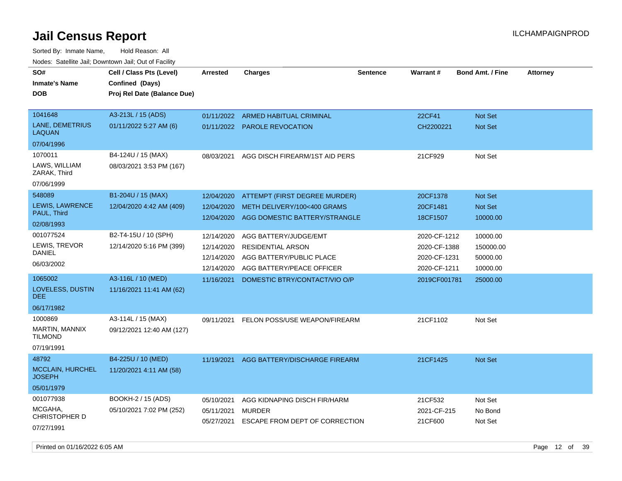Sorted By: Inmate Name, Hold Reason: All Nodes: Satellite Jail; Downtown Jail; Out of Facility

| SO#<br><b>Inmate's Name</b><br><b>DOB</b> | Cell / Class Pts (Level)<br>Confined (Days)<br>Proj Rel Date (Balance Due) | <b>Arrested</b>          | Charges                                                    | <b>Sentence</b> | Warrant#            | <b>Bond Amt. / Fine</b>          | <b>Attorney</b> |
|-------------------------------------------|----------------------------------------------------------------------------|--------------------------|------------------------------------------------------------|-----------------|---------------------|----------------------------------|-----------------|
| 1041648<br>LANE, DEMETRIUS<br>LAQUAN      | A3-213L / 15 (ADS)<br>01/11/2022 5:27 AM (6)                               | 01/11/2022<br>01/11/2022 | <b>ARMED HABITUAL CRIMINAL</b><br><b>PAROLE REVOCATION</b> |                 | 22CF41<br>CH2200221 | <b>Not Set</b><br><b>Not Set</b> |                 |
| 07/04/1996                                |                                                                            |                          |                                                            |                 |                     |                                  |                 |
| 1070011                                   | B4-124U / 15 (MAX)                                                         | 08/03/2021               | AGG DISCH FIREARM/1ST AID PERS                             |                 | 21CF929             | Not Set                          |                 |
| LAWS, WILLIAM<br>ZARAK, Third             | 08/03/2021 3:53 PM (167)                                                   |                          |                                                            |                 |                     |                                  |                 |
| 07/06/1999                                |                                                                            |                          |                                                            |                 |                     |                                  |                 |
| 548089                                    | B1-204U / 15 (MAX)                                                         | 12/04/2020               | ATTEMPT (FIRST DEGREE MURDER)                              |                 | 20CF1378            | Not Set                          |                 |
| LEWIS, LAWRENCE                           | 12/04/2020 4:42 AM (409)                                                   | 12/04/2020               | METH DELIVERY/100<400 GRAMS                                |                 | 20CF1481            | Not Set                          |                 |
| PAUL, Third                               |                                                                            | 12/04/2020               | AGG DOMESTIC BATTERY/STRANGLE                              |                 | 18CF1507            | 10000.00                         |                 |
| 02/08/1993                                |                                                                            |                          |                                                            |                 |                     |                                  |                 |
| 001077524                                 | B2-T4-15U / 10 (SPH)                                                       | 12/14/2020               | AGG BATTERY/JUDGE/EMT                                      |                 | 2020-CF-1212        | 10000.00                         |                 |
| LEWIS, TREVOR                             | 12/14/2020 5:16 PM (399)                                                   | 12/14/2020               | <b>RESIDENTIAL ARSON</b>                                   |                 | 2020-CF-1388        | 150000.00                        |                 |
| DANIEL                                    |                                                                            | 12/14/2020               | AGG BATTERY/PUBLIC PLACE                                   |                 | 2020-CF-1231        | 50000.00                         |                 |
| 06/03/2002                                |                                                                            | 12/14/2020               | AGG BATTERY/PEACE OFFICER                                  |                 | 2020-CF-1211        | 10000.00                         |                 |
| 1065002                                   | A3-116L / 10 (MED)                                                         | 11/16/2021               | DOMESTIC BTRY/CONTACT/VIO O/P                              |                 | 2019CF001781        | 25000.00                         |                 |
| <b>LOVELESS, DUSTIN</b><br>DEE.           | 11/16/2021 11:41 AM (62)                                                   |                          |                                                            |                 |                     |                                  |                 |
| 06/17/1982                                |                                                                            |                          |                                                            |                 |                     |                                  |                 |
| 1000869                                   | A3-114L / 15 (MAX)                                                         | 09/11/2021               | FELON POSS/USE WEAPON/FIREARM                              |                 | 21CF1102            | Not Set                          |                 |
| MARTIN, MANNIX<br>TILMOND                 | 09/12/2021 12:40 AM (127)                                                  |                          |                                                            |                 |                     |                                  |                 |
| 07/19/1991                                |                                                                            |                          |                                                            |                 |                     |                                  |                 |
| 48792                                     | B4-225U / 10 (MED)                                                         | 11/19/2021               | AGG BATTERY/DISCHARGE FIREARM                              |                 | 21CF1425            | <b>Not Set</b>                   |                 |
| <b>MCCLAIN, HURCHEL</b><br><b>JOSEPH</b>  | 11/20/2021 4:11 AM (58)                                                    |                          |                                                            |                 |                     |                                  |                 |
| 05/01/1979                                |                                                                            |                          |                                                            |                 |                     |                                  |                 |
| 001077938                                 | BOOKH-2 / 15 (ADS)                                                         | 05/10/2021               | AGG KIDNAPING DISCH FIR/HARM                               |                 | 21CF532             | Not Set                          |                 |
| MCGAHA,<br>CHRISTOPHER D                  | 05/10/2021 7:02 PM (252)                                                   | 05/11/2021               | <b>MURDER</b>                                              |                 | 2021-CF-215         | No Bond                          |                 |
| 07/27/1991                                |                                                                            | 05/27/2021               | ESCAPE FROM DEPT OF CORRECTION                             |                 | 21CF600             | Not Set                          |                 |

Printed on 01/16/2022 6:05 AM Page 12 of 39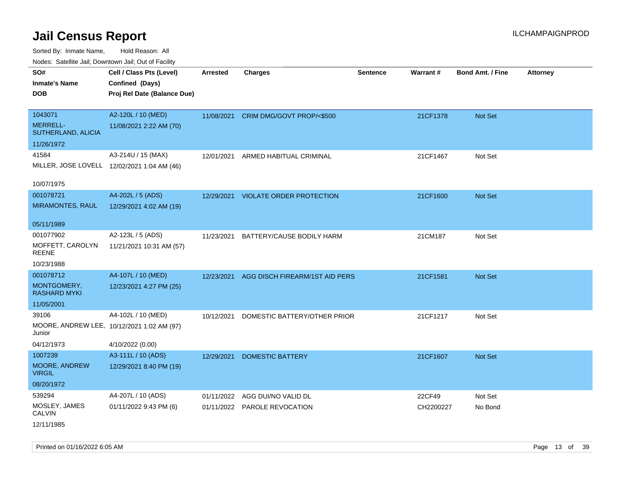Sorted By: Inmate Name, Hold Reason: All

| Nodes: Satellite Jail; Downtown Jail; Out of Facility |                                             |                 |                                 |                 |                 |                         |          |
|-------------------------------------------------------|---------------------------------------------|-----------------|---------------------------------|-----------------|-----------------|-------------------------|----------|
| SO#                                                   | Cell / Class Pts (Level)                    | <b>Arrested</b> | <b>Charges</b>                  | <b>Sentence</b> | <b>Warrant#</b> | <b>Bond Amt. / Fine</b> | Attorney |
| <b>Inmate's Name</b>                                  | Confined (Days)                             |                 |                                 |                 |                 |                         |          |
| <b>DOB</b>                                            | Proj Rel Date (Balance Due)                 |                 |                                 |                 |                 |                         |          |
|                                                       |                                             |                 |                                 |                 |                 |                         |          |
| 1043071                                               | A2-120L / 10 (MED)                          | 11/08/2021      | CRIM DMG/GOVT PROP/<\$500       |                 | 21CF1378        | Not Set                 |          |
| <b>MERRELL-</b><br>SUTHERLAND, ALICIA                 | 11/08/2021 2:22 AM (70)                     |                 |                                 |                 |                 |                         |          |
| 11/26/1972                                            |                                             |                 |                                 |                 |                 |                         |          |
| 41584                                                 | A3-214U / 15 (MAX)                          | 12/01/2021      | ARMED HABITUAL CRIMINAL         |                 | 21CF1467        | Not Set                 |          |
|                                                       | MILLER, JOSE LOVELL 12/02/2021 1:04 AM (46) |                 |                                 |                 |                 |                         |          |
| 10/07/1975                                            |                                             |                 |                                 |                 |                 |                         |          |
| 001078721                                             | A4-202L / 5 (ADS)                           | 12/29/2021      | <b>VIOLATE ORDER PROTECTION</b> |                 | 21CF1600        | Not Set                 |          |
| <b>MIRAMONTES, RAUL</b>                               | 12/29/2021 4:02 AM (19)                     |                 |                                 |                 |                 |                         |          |
|                                                       |                                             |                 |                                 |                 |                 |                         |          |
| 05/11/1989                                            |                                             |                 |                                 |                 |                 |                         |          |
| 001077902                                             | A2-123L / 5 (ADS)                           | 11/23/2021      | BATTERY/CAUSE BODILY HARM       |                 | 21CM187         | Not Set                 |          |
| MOFFETT, CAROLYN<br><b>REENE</b>                      | 11/21/2021 10:31 AM (57)                    |                 |                                 |                 |                 |                         |          |
| 10/23/1988                                            |                                             |                 |                                 |                 |                 |                         |          |
| 001078712                                             | A4-107L / 10 (MED)                          | 12/23/2021      | AGG DISCH FIREARM/1ST AID PERS  |                 | 21CF1581        | Not Set                 |          |
| MONTGOMERY,<br><b>RASHARD MYKI</b>                    | 12/23/2021 4:27 PM (25)                     |                 |                                 |                 |                 |                         |          |
| 11/05/2001                                            |                                             |                 |                                 |                 |                 |                         |          |
| 39106                                                 | A4-102L / 10 (MED)                          | 10/12/2021      | DOMESTIC BATTERY/OTHER PRIOR    |                 | 21CF1217        | Not Set                 |          |
| Junior                                                | MOORE, ANDREW LEE, 10/12/2021 1:02 AM (97)  |                 |                                 |                 |                 |                         |          |
| 04/12/1973                                            | 4/10/2022 (0.00)                            |                 |                                 |                 |                 |                         |          |
| 1007239                                               | A3-111L / 10 (ADS)                          | 12/29/2021      | <b>DOMESTIC BATTERY</b>         |                 | 21CF1607        | Not Set                 |          |
| MOORE, ANDREW<br><b>VIRGIL</b>                        | 12/29/2021 8:40 PM (19)                     |                 |                                 |                 |                 |                         |          |
| 08/20/1972                                            |                                             |                 |                                 |                 |                 |                         |          |
| 539294                                                | A4-207L / 10 (ADS)                          | 01/11/2022      | AGG DUI/NO VALID DL             |                 | 22CF49          | Not Set                 |          |
| MOSLEY, JAMES<br><b>CALVIN</b>                        | 01/11/2022 9:43 PM (6)                      | 01/11/2022      | <b>PAROLE REVOCATION</b>        |                 | CH2200227       | No Bond                 |          |
| 12/11/1985                                            |                                             |                 |                                 |                 |                 |                         |          |

Printed on 01/16/2022 6:05 AM Page 13 of 39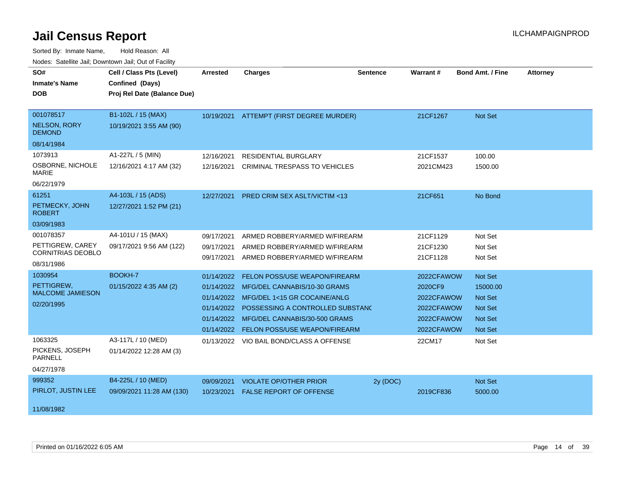| <b>Houce.</b> Catellite ball, Downtown ball, Out of Fability<br>SO# | Cell / Class Pts (Level)    | <b>Arrested</b> | <b>Charges</b>                           | <b>Sentence</b> | <b>Warrant#</b> | <b>Bond Amt. / Fine</b> | <b>Attorney</b> |
|---------------------------------------------------------------------|-----------------------------|-----------------|------------------------------------------|-----------------|-----------------|-------------------------|-----------------|
| <b>Inmate's Name</b>                                                | Confined (Days)             |                 |                                          |                 |                 |                         |                 |
| <b>DOB</b>                                                          | Proj Rel Date (Balance Due) |                 |                                          |                 |                 |                         |                 |
|                                                                     |                             |                 |                                          |                 |                 |                         |                 |
| 001078517                                                           | B1-102L / 15 (MAX)          |                 | 10/19/2021 ATTEMPT (FIRST DEGREE MURDER) |                 | 21CF1267        | Not Set                 |                 |
| <b>NELSON, RORY</b><br><b>DEMOND</b>                                | 10/19/2021 3:55 AM (90)     |                 |                                          |                 |                 |                         |                 |
| 08/14/1984                                                          |                             |                 |                                          |                 |                 |                         |                 |
| 1073913                                                             | A1-227L / 5 (MIN)           | 12/16/2021      | <b>RESIDENTIAL BURGLARY</b>              |                 | 21CF1537        | 100.00                  |                 |
| OSBORNE, NICHOLE<br>MARIE                                           | 12/16/2021 4:17 AM (32)     | 12/16/2021      | CRIMINAL TRESPASS TO VEHICLES            |                 | 2021CM423       | 1500.00                 |                 |
| 06/22/1979                                                          |                             |                 |                                          |                 |                 |                         |                 |
| 61251                                                               | A4-103L / 15 (ADS)          | 12/27/2021      | <b>PRED CRIM SEX ASLT/VICTIM &lt;13</b>  |                 | 21CF651         | No Bond                 |                 |
| PETMECKY, JOHN<br><b>ROBERT</b>                                     | 12/27/2021 1:52 PM (21)     |                 |                                          |                 |                 |                         |                 |
| 03/09/1983                                                          |                             |                 |                                          |                 |                 |                         |                 |
| 001078357                                                           | A4-101U / 15 (MAX)          | 09/17/2021      | ARMED ROBBERY/ARMED W/FIREARM            |                 | 21CF1129        | Not Set                 |                 |
| PETTIGREW, CAREY                                                    | 09/17/2021 9:56 AM (122)    | 09/17/2021      | ARMED ROBBERY/ARMED W/FIREARM            |                 | 21CF1230        | Not Set                 |                 |
| <b>CORNITRIAS DEOBLO</b>                                            |                             | 09/17/2021      | ARMED ROBBERY/ARMED W/FIREARM            |                 | 21CF1128        | Not Set                 |                 |
| 08/31/1986                                                          |                             |                 |                                          |                 |                 |                         |                 |
| 1030954                                                             | BOOKH-7                     | 01/14/2022      | <b>FELON POSS/USE WEAPON/FIREARM</b>     |                 | 2022CFAWOW      | Not Set                 |                 |
| PETTIGREW,<br><b>MALCOME JAMIESON</b>                               | 01/15/2022 4:35 AM (2)      |                 | 01/14/2022 MFG/DEL CANNABIS/10-30 GRAMS  |                 | 2020CF9         | 15000.00                |                 |
| 02/20/1995                                                          |                             |                 | 01/14/2022 MFG/DEL 1<15 GR COCAINE/ANLG  |                 | 2022CFAWOW      | Not Set                 |                 |
|                                                                     |                             | 01/14/2022      | POSSESSING A CONTROLLED SUBSTANC         |                 | 2022CFAWOW      | <b>Not Set</b>          |                 |
|                                                                     |                             | 01/14/2022      | MFG/DEL CANNABIS/30-500 GRAMS            |                 | 2022CFAWOW      | <b>Not Set</b>          |                 |
|                                                                     |                             |                 | 01/14/2022 FELON POSS/USE WEAPON/FIREARM |                 | 2022CFAWOW      | <b>Not Set</b>          |                 |
| 1063325                                                             | A3-117L / 10 (MED)          |                 | 01/13/2022 VIO BAIL BOND/CLASS A OFFENSE |                 | 22CM17          | Not Set                 |                 |
| PICKENS, JOSEPH<br><b>PARNELL</b>                                   | 01/14/2022 12:28 AM (3)     |                 |                                          |                 |                 |                         |                 |
| 04/27/1978                                                          |                             |                 |                                          |                 |                 |                         |                 |
| 999352                                                              | B4-225L / 10 (MED)          | 09/09/2021      | <b>VIOLATE OP/OTHER PRIOR</b>            | 2y (DOC)        |                 | Not Set                 |                 |
| PIRLOT, JUSTIN LEE                                                  | 09/09/2021 11:28 AM (130)   | 10/23/2021      | <b>FALSE REPORT OF OFFENSE</b>           |                 | 2019CF836       | 5000.00                 |                 |
| 11/08/1982                                                          |                             |                 |                                          |                 |                 |                         |                 |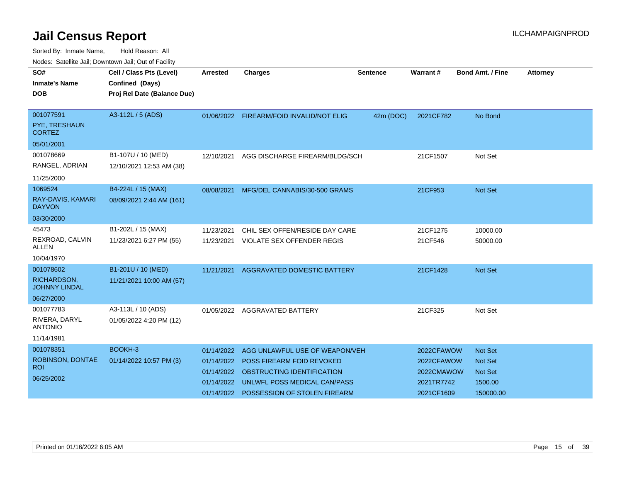| SO#<br><b>Inmate's Name</b><br><b>DOB</b>                      | Cell / Class Pts (Level)<br>Confined (Days)<br>Proj Rel Date (Balance Due) | <b>Arrested</b>                                      | <b>Charges</b>                                                                                                                                                       | <b>Sentence</b> | Warrant#                                                           | <b>Bond Amt. / Fine</b>                                                    | <b>Attorney</b> |
|----------------------------------------------------------------|----------------------------------------------------------------------------|------------------------------------------------------|----------------------------------------------------------------------------------------------------------------------------------------------------------------------|-----------------|--------------------------------------------------------------------|----------------------------------------------------------------------------|-----------------|
| 001077591<br>PYE, TRESHAUN<br><b>CORTEZ</b>                    | A3-112L / 5 (ADS)                                                          |                                                      | 01/06/2022 FIREARM/FOID INVALID/NOT ELIG                                                                                                                             | 42m (DOC)       | 2021CF782                                                          | No Bond                                                                    |                 |
| 05/01/2001<br>001078669<br>RANGEL, ADRIAN<br>11/25/2000        | B1-107U / 10 (MED)<br>12/10/2021 12:53 AM (38)                             | 12/10/2021                                           | AGG DISCHARGE FIREARM/BLDG/SCH                                                                                                                                       |                 | 21CF1507                                                           | Not Set                                                                    |                 |
| 1069524<br>RAY-DAVIS, KAMARI<br><b>DAYVON</b><br>03/30/2000    | B4-224L / 15 (MAX)<br>08/09/2021 2:44 AM (161)                             | 08/08/2021                                           | MFG/DEL CANNABIS/30-500 GRAMS                                                                                                                                        |                 | 21CF953                                                            | <b>Not Set</b>                                                             |                 |
| 45473<br>REXROAD, CALVIN<br>ALLEN<br>10/04/1970                | B1-202L / 15 (MAX)<br>11/23/2021 6:27 PM (55)                              | 11/23/2021<br>11/23/2021                             | CHIL SEX OFFEN/RESIDE DAY CARE<br><b>VIOLATE SEX OFFENDER REGIS</b>                                                                                                  |                 | 21CF1275<br>21CF546                                                | 10000.00<br>50000.00                                                       |                 |
| 001078602<br>RICHARDSON,<br><b>JOHNNY LINDAL</b><br>06/27/2000 | B1-201U / 10 (MED)<br>11/21/2021 10:00 AM (57)                             | 11/21/2021                                           | AGGRAVATED DOMESTIC BATTERY                                                                                                                                          |                 | 21CF1428                                                           | Not Set                                                                    |                 |
| 001077783<br>RIVERA, DARYL<br><b>ANTONIO</b><br>11/14/1981     | A3-113L / 10 (ADS)<br>01/05/2022 4:20 PM (12)                              |                                                      | 01/05/2022 AGGRAVATED BATTERY                                                                                                                                        |                 | 21CF325                                                            | Not Set                                                                    |                 |
| 001078351<br>ROBINSON, DONTAE<br><b>ROI</b><br>06/25/2002      | BOOKH-3<br>01/14/2022 10:57 PM (3)                                         | 01/14/2022<br>01/14/2022<br>01/14/2022<br>01/14/2022 | AGG UNLAWFUL USE OF WEAPON/VEH<br>POSS FIREARM FOID REVOKED<br>OBSTRUCTING IDENTIFICATION<br>UNLWFL POSS MEDICAL CAN/PASS<br>01/14/2022 POSSESSION OF STOLEN FIREARM |                 | 2022CFAWOW<br>2022CFAWOW<br>2022CMAWOW<br>2021TR7742<br>2021CF1609 | <b>Not Set</b><br><b>Not Set</b><br><b>Not Set</b><br>1500.00<br>150000.00 |                 |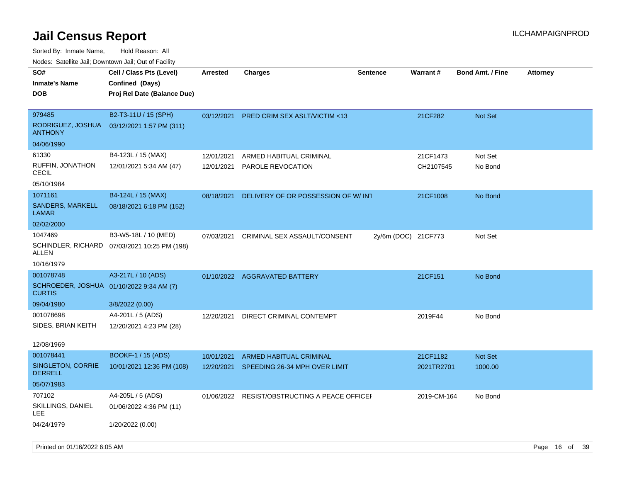| SO#<br><b>Inmate's Name</b><br><b>DOB</b>                 | Cell / Class Pts (Level)<br>Confined (Days)<br>Proj Rel Date (Balance Due) | <b>Arrested</b> | <b>Charges</b>                          | <b>Sentence</b>     | Warrant#    | <b>Bond Amt. / Fine</b> | <b>Attorney</b> |
|-----------------------------------------------------------|----------------------------------------------------------------------------|-----------------|-----------------------------------------|---------------------|-------------|-------------------------|-----------------|
| 979485<br>RODRIGUEZ, JOSHUA<br><b>ANTHONY</b>             | B2-T3-11U / 15 (SPH)<br>03/12/2021 1:57 PM (311)                           | 03/12/2021      | <b>PRED CRIM SEX ASLT/VICTIM &lt;13</b> |                     | 21CF282     | <b>Not Set</b>          |                 |
| 04/06/1990                                                |                                                                            |                 |                                         |                     |             |                         |                 |
| 61330                                                     | B4-123L / 15 (MAX)                                                         | 12/01/2021      | ARMED HABITUAL CRIMINAL                 |                     | 21CF1473    | Not Set                 |                 |
| RUFFIN, JONATHON<br><b>CECIL</b>                          | 12/01/2021 5:34 AM (47)                                                    | 12/01/2021      | PAROLE REVOCATION                       |                     | CH2107545   | No Bond                 |                 |
| 05/10/1984                                                |                                                                            |                 |                                         |                     |             |                         |                 |
| 1071161                                                   | B4-124L / 15 (MAX)                                                         | 08/18/2021      | DELIVERY OF OR POSSESSION OF W/INT      |                     | 21CF1008    | No Bond                 |                 |
| <b>SANDERS, MARKELL</b><br>LAMAR                          | 08/18/2021 6:18 PM (152)                                                   |                 |                                         |                     |             |                         |                 |
| 02/02/2000                                                |                                                                            |                 |                                         |                     |             |                         |                 |
| 1047469<br>ALLEN                                          | B3-W5-18L / 10 (MED)<br>SCHINDLER, RICHARD 07/03/2021 10:25 PM (198)       | 07/03/2021      | CRIMINAL SEX ASSAULT/CONSENT            | 2y/6m (DOC) 21CF773 |             | Not Set                 |                 |
| 10/16/1979                                                |                                                                            |                 |                                         |                     |             |                         |                 |
| 001078748                                                 | A3-217L / 10 (ADS)                                                         |                 | 01/10/2022 AGGRAVATED BATTERY           |                     | 21CF151     | No Bond                 |                 |
| SCHROEDER, JOSHUA 01/10/2022 9:34 AM (7)<br><b>CURTIS</b> |                                                                            |                 |                                         |                     |             |                         |                 |
| 09/04/1980                                                | 3/8/2022 (0.00)                                                            |                 |                                         |                     |             |                         |                 |
| 001078698<br>SIDES, BRIAN KEITH                           | A4-201L / 5 (ADS)<br>12/20/2021 4:23 PM (28)                               | 12/20/2021      | DIRECT CRIMINAL CONTEMPT                |                     | 2019F44     | No Bond                 |                 |
| 12/08/1969                                                |                                                                            |                 |                                         |                     |             |                         |                 |
| 001078441                                                 | BOOKF-1 / 15 (ADS)                                                         | 10/01/2021      | ARMED HABITUAL CRIMINAL                 |                     | 21CF1182    | <b>Not Set</b>          |                 |
| SINGLETON, CORRIE<br><b>DERRELL</b>                       | 10/01/2021 12:36 PM (108)                                                  | 12/20/2021      | SPEEDING 26-34 MPH OVER LIMIT           |                     | 2021TR2701  | 1000.00                 |                 |
| 05/07/1983                                                |                                                                            |                 |                                         |                     |             |                         |                 |
| 707102<br>SKILLINGS, DANIEL<br>LEE                        | A4-205L / 5 (ADS)<br>01/06/2022 4:36 PM (11)                               | 01/06/2022      | RESIST/OBSTRUCTING A PEACE OFFICEF      |                     | 2019-CM-164 | No Bond                 |                 |
| 04/24/1979                                                | 1/20/2022 (0.00)                                                           |                 |                                         |                     |             |                         |                 |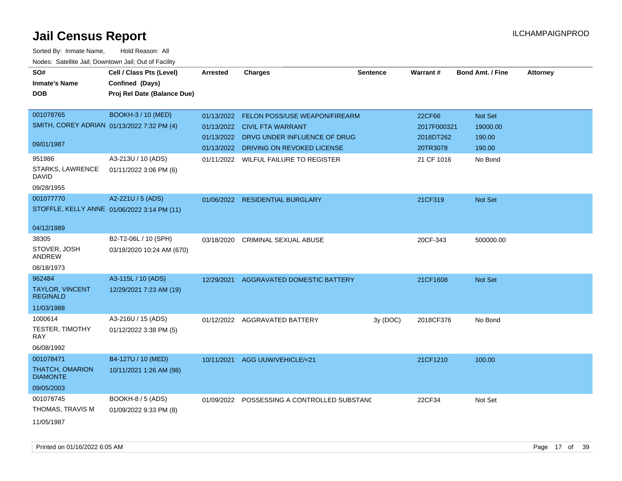| SO#<br><b>Inmate's Name</b><br><b>DOB</b>   | Cell / Class Pts (Level)<br>Confined (Days)<br>Proj Rel Date (Balance Due) | <b>Arrested</b> | <b>Charges</b>                              | <b>Sentence</b> | Warrant#    | <b>Bond Amt. / Fine</b> | <b>Attorney</b> |
|---------------------------------------------|----------------------------------------------------------------------------|-----------------|---------------------------------------------|-----------------|-------------|-------------------------|-----------------|
| 001078765                                   | <b>BOOKH-3 / 10 (MED)</b>                                                  | 01/13/2022      | FELON POSS/USE WEAPON/FIREARM               |                 | 22CF66      | Not Set                 |                 |
| SMITH, COREY ADRIAN 01/13/2022 7:32 PM (4)  |                                                                            |                 | 01/13/2022 CIVIL FTA WARRANT                |                 | 2017F000321 | 19000.00                |                 |
|                                             |                                                                            | 01/13/2022      | DRVG UNDER INFLUENCE OF DRUG                |                 | 2018DT262   | 190.00                  |                 |
| 09/01/1987                                  |                                                                            | 01/13/2022      | DRIVING ON REVOKED LICENSE                  |                 | 20TR3078    | 190.00                  |                 |
| 951986                                      | A3-213U / 10 (ADS)                                                         |                 | 01/11/2022 WILFUL FAILURE TO REGISTER       |                 | 21 CF 1016  | No Bond                 |                 |
| <b>STARKS, LAWRENCE</b><br><b>DAVID</b>     | 01/11/2022 3:06 PM (6)                                                     |                 |                                             |                 |             |                         |                 |
| 09/28/1955                                  |                                                                            |                 |                                             |                 |             |                         |                 |
| 001077770                                   | A2-221U / 5 (ADS)                                                          |                 | 01/06/2022 RESIDENTIAL BURGLARY             |                 | 21CF319     | Not Set                 |                 |
| STOFFLE, KELLY ANNE 01/06/2022 3:14 PM (11) |                                                                            |                 |                                             |                 |             |                         |                 |
| 04/12/1989                                  |                                                                            |                 |                                             |                 |             |                         |                 |
| 38305                                       | B2-T2-06L / 10 (SPH)                                                       | 03/18/2020      | <b>CRIMINAL SEXUAL ABUSE</b>                |                 | 20CF-343    | 500000.00               |                 |
| STOVER, JOSH<br>ANDREW                      | 03/18/2020 10:24 AM (670)                                                  |                 |                                             |                 |             |                         |                 |
| 08/18/1973                                  |                                                                            |                 |                                             |                 |             |                         |                 |
| 962484                                      | A3-115L / 10 (ADS)                                                         | 12/29/2021      | AGGRAVATED DOMESTIC BATTERY                 |                 | 21CF1608    | Not Set                 |                 |
| <b>TAYLOR, VINCENT</b><br><b>REGINALD</b>   | 12/29/2021 7:23 AM (19)                                                    |                 |                                             |                 |             |                         |                 |
| 11/03/1988                                  |                                                                            |                 |                                             |                 |             |                         |                 |
| 1000614                                     | A3-216U / 15 (ADS)                                                         |                 | 01/12/2022 AGGRAVATED BATTERY               | 3y (DOC)        | 2018CF376   | No Bond                 |                 |
| <b>TESTER, TIMOTHY</b><br>RAY               | 01/12/2022 3:38 PM (5)                                                     |                 |                                             |                 |             |                         |                 |
| 06/08/1992                                  |                                                                            |                 |                                             |                 |             |                         |                 |
| 001078471                                   | B4-127U / 10 (MED)                                                         | 10/11/2021      | AGG UUW/VEHICLE/<21                         |                 | 21CF1210    | 100.00                  |                 |
| THATCH, OMARION<br><b>DIAMONTE</b>          | 10/11/2021 1:26 AM (98)                                                    |                 |                                             |                 |             |                         |                 |
| 09/05/2003                                  |                                                                            |                 |                                             |                 |             |                         |                 |
| 001078745                                   | BOOKH-8 / 5 (ADS)                                                          |                 | 01/09/2022 POSSESSING A CONTROLLED SUBSTANG |                 | 22CF34      | Not Set                 |                 |
| THOMAS, TRAVIS M                            | 01/09/2022 9:33 PM (8)                                                     |                 |                                             |                 |             |                         |                 |
| 11/05/1987                                  |                                                                            |                 |                                             |                 |             |                         |                 |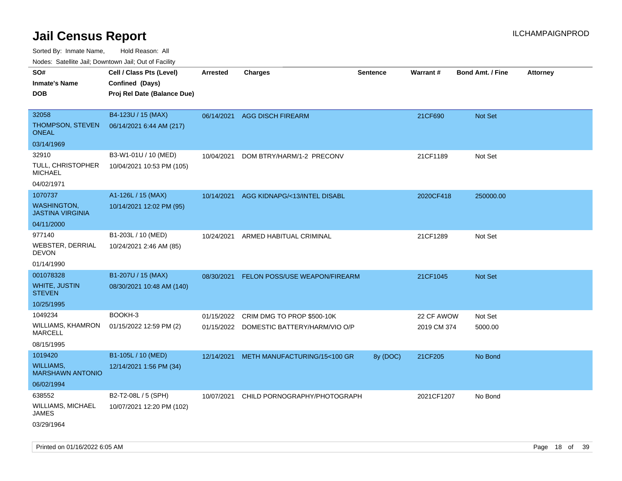Sorted By: Inmate Name, Hold Reason: All

Nodes: Satellite Jail; Downtown Jail; Out of Facility

| roaco. Calcinio dan, Downtown dan, Oal or Fability |                             |                 |                                          |                 |                 |                         |                 |
|----------------------------------------------------|-----------------------------|-----------------|------------------------------------------|-----------------|-----------------|-------------------------|-----------------|
| SO#                                                | Cell / Class Pts (Level)    | <b>Arrested</b> | <b>Charges</b>                           | <b>Sentence</b> | <b>Warrant#</b> | <b>Bond Amt. / Fine</b> | <b>Attorney</b> |
| <b>Inmate's Name</b>                               | Confined (Days)             |                 |                                          |                 |                 |                         |                 |
| <b>DOB</b>                                         | Proj Rel Date (Balance Due) |                 |                                          |                 |                 |                         |                 |
|                                                    |                             |                 |                                          |                 |                 |                         |                 |
| 32058                                              | B4-123U / 15 (MAX)          | 06/14/2021      | <b>AGG DISCH FIREARM</b>                 |                 | 21CF690         | Not Set                 |                 |
| THOMPSON, STEVEN<br><b>ONEAL</b>                   | 06/14/2021 6:44 AM (217)    |                 |                                          |                 |                 |                         |                 |
| 03/14/1969                                         |                             |                 |                                          |                 |                 |                         |                 |
| 32910                                              | B3-W1-01U / 10 (MED)        | 10/04/2021      | DOM BTRY/HARM/1-2 PRECONV                |                 | 21CF1189        | Not Set                 |                 |
| <b>TULL, CHRISTOPHER</b><br><b>MICHAEL</b>         | 10/04/2021 10:53 PM (105)   |                 |                                          |                 |                 |                         |                 |
| 04/02/1971                                         |                             |                 |                                          |                 |                 |                         |                 |
| 1070737                                            | A1-126L / 15 (MAX)          | 10/14/2021      | AGG KIDNAPG/<13/INTEL DISABL             |                 | 2020CF418       | 250000.00               |                 |
| <b>WASHINGTON,</b><br><b>JASTINA VIRGINIA</b>      | 10/14/2021 12:02 PM (95)    |                 |                                          |                 |                 |                         |                 |
| 04/11/2000                                         |                             |                 |                                          |                 |                 |                         |                 |
| 977140                                             | B1-203L / 10 (MED)          | 10/24/2021      | ARMED HABITUAL CRIMINAL                  |                 | 21CF1289        | Not Set                 |                 |
| WEBSTER, DERRIAL<br><b>DEVON</b>                   | 10/24/2021 2:46 AM (85)     |                 |                                          |                 |                 |                         |                 |
| 01/14/1990                                         |                             |                 |                                          |                 |                 |                         |                 |
| 001078328                                          | B1-207U / 15 (MAX)          | 08/30/2021      | FELON POSS/USE WEAPON/FIREARM            |                 | 21CF1045        | <b>Not Set</b>          |                 |
| <b>WHITE, JUSTIN</b><br><b>STEVEN</b>              | 08/30/2021 10:48 AM (140)   |                 |                                          |                 |                 |                         |                 |
| 10/25/1995                                         |                             |                 |                                          |                 |                 |                         |                 |
| 1049234                                            | BOOKH-3                     | 01/15/2022      | CRIM DMG TO PROP \$500-10K               |                 | 22 CF AWOW      | Not Set                 |                 |
| WILLIAMS, KHAMRON<br><b>MARCELL</b>                | 01/15/2022 12:59 PM (2)     |                 | 01/15/2022 DOMESTIC BATTERY/HARM/VIO O/P |                 | 2019 CM 374     | 5000.00                 |                 |
| 08/15/1995                                         |                             |                 |                                          |                 |                 |                         |                 |
| 1019420                                            | B1-105L / 10 (MED)          | 12/14/2021      | METH MANUFACTURING/15<100 GR             | 8y (DOC)        | 21CF205         | No Bond                 |                 |
| <b>WILLIAMS,</b><br><b>MARSHAWN ANTONIO</b>        | 12/14/2021 1:56 PM (34)     |                 |                                          |                 |                 |                         |                 |
| 06/02/1994                                         |                             |                 |                                          |                 |                 |                         |                 |
| 638552                                             | B2-T2-08L / 5 (SPH)         | 10/07/2021      | CHILD PORNOGRAPHY/PHOTOGRAPH             |                 | 2021CF1207      | No Bond                 |                 |
| <b>WILLIAMS, MICHAEL</b><br><b>JAMES</b>           | 10/07/2021 12:20 PM (102)   |                 |                                          |                 |                 |                         |                 |
| 03/29/1964                                         |                             |                 |                                          |                 |                 |                         |                 |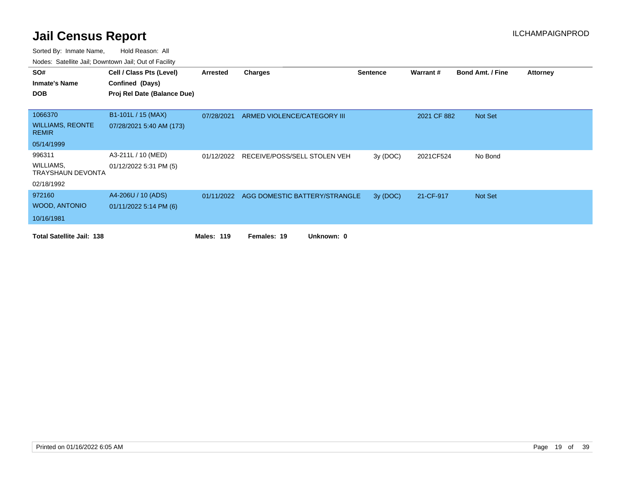| SO#                                     | Cell / Class Pts (Level)    | Arrested          | <b>Charges</b>                | <b>Sentence</b> | Warrant#    | <b>Bond Amt. / Fine</b> | <b>Attorney</b> |
|-----------------------------------------|-----------------------------|-------------------|-------------------------------|-----------------|-------------|-------------------------|-----------------|
| <b>Inmate's Name</b>                    | Confined (Days)             |                   |                               |                 |             |                         |                 |
| <b>DOB</b>                              | Proj Rel Date (Balance Due) |                   |                               |                 |             |                         |                 |
|                                         |                             |                   |                               |                 |             |                         |                 |
| 1066370                                 | B1-101L / 15 (MAX)          | 07/28/2021        | ARMED VIOLENCE/CATEGORY III   |                 | 2021 CF 882 | Not Set                 |                 |
| <b>WILLIAMS, REONTE</b><br><b>REMIR</b> | 07/28/2021 5:40 AM (173)    |                   |                               |                 |             |                         |                 |
| 05/14/1999                              |                             |                   |                               |                 |             |                         |                 |
| 996311                                  | A3-211L / 10 (MED)          | 01/12/2022        | RECEIVE/POSS/SELL STOLEN VEH  | 3y(DOC)         | 2021CF524   | No Bond                 |                 |
| WILLIAMS,<br><b>TRAYSHAUN DEVONTA</b>   | 01/12/2022 5:31 PM (5)      |                   |                               |                 |             |                         |                 |
| 02/18/1992                              |                             |                   |                               |                 |             |                         |                 |
| 972160                                  | A4-206U / 10 (ADS)          | 01/11/2022        | AGG DOMESTIC BATTERY/STRANGLE | 3y (DOC)        | 21-CF-917   | Not Set                 |                 |
| <b>WOOD, ANTONIO</b>                    | $01/11/2022$ 5:14 PM (6)    |                   |                               |                 |             |                         |                 |
| 10/16/1981                              |                             |                   |                               |                 |             |                         |                 |
| <b>Total Satellite Jail: 138</b>        |                             | <b>Males: 119</b> | Unknown: 0<br>Females: 19     |                 |             |                         |                 |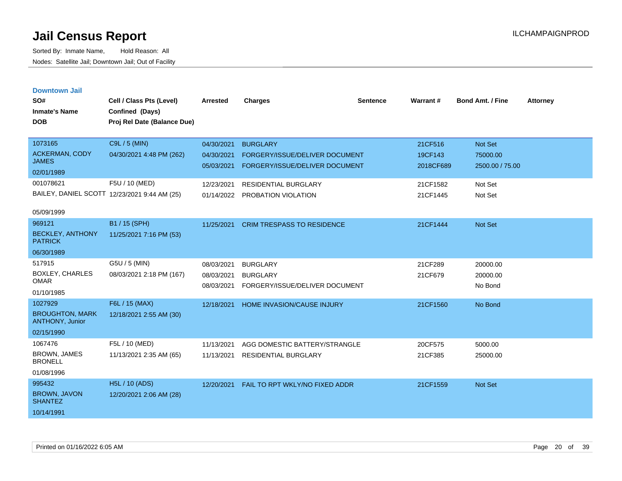| <b>Downtown Jail</b><br>SO#<br><b>Inmate's Name</b><br><b>DOB</b> | Cell / Class Pts (Level)<br>Confined (Days)<br>Proj Rel Date (Balance Due) | Arrested                 | <b>Charges</b>                                                   | <b>Sentence</b> | Warrant#             | <b>Bond Amt. / Fine</b>     | <b>Attorney</b> |
|-------------------------------------------------------------------|----------------------------------------------------------------------------|--------------------------|------------------------------------------------------------------|-----------------|----------------------|-----------------------------|-----------------|
| 1073165                                                           | C9L / 5 (MIN)                                                              | 04/30/2021               | <b>BURGLARY</b>                                                  |                 | 21CF516              | Not Set                     |                 |
| <b>ACKERMAN, CODY</b><br><b>JAMES</b>                             | 04/30/2021 4:48 PM (262)                                                   | 04/30/2021<br>05/03/2021 | FORGERY/ISSUE/DELIVER DOCUMENT<br>FORGERY/ISSUE/DELIVER DOCUMENT |                 | 19CF143<br>2018CF689 | 75000.00<br>2500.00 / 75.00 |                 |
| 02/01/1989                                                        |                                                                            |                          |                                                                  |                 |                      |                             |                 |
| 001078621                                                         | F5U / 10 (MED)                                                             | 12/23/2021               | <b>RESIDENTIAL BURGLARY</b>                                      |                 | 21CF1582             | Not Set                     |                 |
|                                                                   | BAILEY, DANIEL SCOTT 12/23/2021 9:44 AM (25)                               | 01/14/2022               | PROBATION VIOLATION                                              |                 | 21CF1445             | Not Set                     |                 |
| 05/09/1999                                                        |                                                                            |                          |                                                                  |                 |                      |                             |                 |
| 969121                                                            | B1 / 15 (SPH)                                                              | 11/25/2021               | <b>CRIM TRESPASS TO RESIDENCE</b>                                |                 | 21CF1444             | Not Set                     |                 |
| <b>BECKLEY, ANTHONY</b><br><b>PATRICK</b>                         | 11/25/2021 7:16 PM (53)                                                    |                          |                                                                  |                 |                      |                             |                 |
| 06/30/1989                                                        |                                                                            |                          |                                                                  |                 |                      |                             |                 |
| 517915                                                            | G5U / 5 (MIN)                                                              | 08/03/2021               | <b>BURGLARY</b>                                                  |                 | 21CF289              | 20000.00                    |                 |
| <b>BOXLEY, CHARLES</b><br><b>OMAR</b>                             | 08/03/2021 2:18 PM (167)                                                   | 08/03/2021<br>08/03/2021 | <b>BURGLARY</b><br>FORGERY/ISSUE/DELIVER DOCUMENT                |                 | 21CF679              | 20000.00<br>No Bond         |                 |
| 01/10/1985                                                        |                                                                            |                          |                                                                  |                 |                      |                             |                 |
| 1027929                                                           | F6L / 15 (MAX)                                                             | 12/18/2021               | HOME INVASION/CAUSE INJURY                                       |                 | 21CF1560             | No Bond                     |                 |
| <b>BROUGHTON, MARK</b><br><b>ANTHONY, Junior</b>                  | 12/18/2021 2:55 AM (30)                                                    |                          |                                                                  |                 |                      |                             |                 |
| 02/15/1990                                                        |                                                                            |                          |                                                                  |                 |                      |                             |                 |
| 1067476                                                           | F5L / 10 (MED)                                                             | 11/13/2021               | AGG DOMESTIC BATTERY/STRANGLE                                    |                 | 20CF575              | 5000.00                     |                 |
| <b>BROWN, JAMES</b><br><b>BRONELL</b>                             | 11/13/2021 2:35 AM (65)                                                    | 11/13/2021               | <b>RESIDENTIAL BURGLARY</b>                                      |                 | 21CF385              | 25000.00                    |                 |
| 01/08/1996                                                        |                                                                            |                          |                                                                  |                 |                      |                             |                 |
| 995432                                                            | H <sub>5</sub> L / 10 (ADS)                                                | 12/20/2021               | FAIL TO RPT WKLY/NO FIXED ADDR                                   |                 | 21CF1559             | Not Set                     |                 |
| <b>BROWN, JAVON</b><br><b>SHANTEZ</b>                             | 12/20/2021 2:06 AM (28)                                                    |                          |                                                                  |                 |                      |                             |                 |
| 10/14/1991                                                        |                                                                            |                          |                                                                  |                 |                      |                             |                 |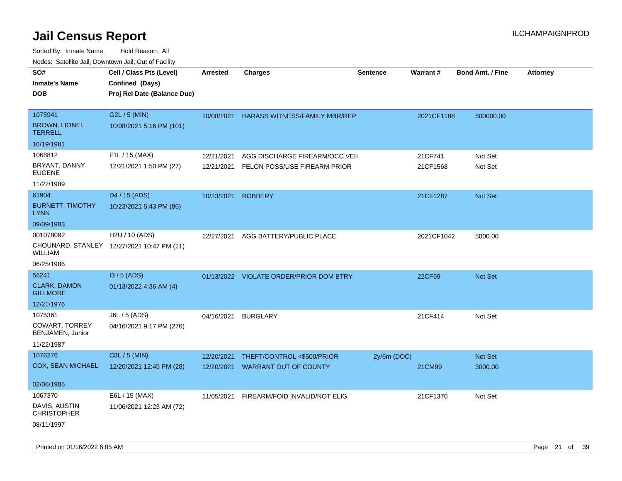| roaco. Calcinio dan, Downtown dan, Oal or Fability |                                            |                 |                                         |                 |                 |                         |                 |
|----------------------------------------------------|--------------------------------------------|-----------------|-----------------------------------------|-----------------|-----------------|-------------------------|-----------------|
| SO#                                                | Cell / Class Pts (Level)                   | <b>Arrested</b> | <b>Charges</b>                          | <b>Sentence</b> | <b>Warrant#</b> | <b>Bond Amt. / Fine</b> | <b>Attorney</b> |
| Inmate's Name                                      | Confined (Days)                            |                 |                                         |                 |                 |                         |                 |
| DOB                                                | Proj Rel Date (Balance Due)                |                 |                                         |                 |                 |                         |                 |
|                                                    |                                            |                 |                                         |                 |                 |                         |                 |
| 1075941                                            | G2L / 5 (MIN)                              | 10/08/2021      | <b>HARASS WITNESS/FAMILY MBR/REP</b>    |                 | 2021CF1188      | 500000.00               |                 |
| <b>BROWN, LIONEL</b><br>TERRELL                    | 10/08/2021 5:16 PM (101)                   |                 |                                         |                 |                 |                         |                 |
| 10/19/1981                                         |                                            |                 |                                         |                 |                 |                         |                 |
| 1068812                                            | F1L / 15 (MAX)                             | 12/21/2021      | AGG DISCHARGE FIREARM/OCC VEH           |                 | 21CF741         | Not Set                 |                 |
| BRYANT, DANNY<br><b>EUGENE</b>                     | 12/21/2021 1:50 PM (27)                    | 12/21/2021      | FELON POSS/USE FIREARM PRIOR            |                 | 21CF1568        | Not Set                 |                 |
| 11/22/1989                                         |                                            |                 |                                         |                 |                 |                         |                 |
| 61904                                              | D4 / 15 (ADS)                              | 10/23/2021      | <b>ROBBERY</b>                          |                 | 21CF1287        | <b>Not Set</b>          |                 |
| <b>BURNETT, TIMOTHY</b><br>LYNN                    | 10/23/2021 5:43 PM (86)                    |                 |                                         |                 |                 |                         |                 |
| 09/09/1983                                         |                                            |                 |                                         |                 |                 |                         |                 |
| 001078092                                          | H2U / 10 (ADS)                             | 12/27/2021      | AGG BATTERY/PUBLIC PLACE                |                 | 2021CF1042      | 5000.00                 |                 |
| WILLIAM                                            | CHOUNARD, STANLEY 12/27/2021 10:47 PM (21) |                 |                                         |                 |                 |                         |                 |
| 06/25/1986                                         |                                            |                 |                                         |                 |                 |                         |                 |
| 56241                                              | I3 / 5 (ADS)                               |                 | 01/13/2022 VIOLATE ORDER/PRIOR DOM BTRY |                 | 22CF59          | <b>Not Set</b>          |                 |
| <b>CLARK, DAMON</b><br><b>GILLMORE</b>             | 01/13/2022 4:36 AM (4)                     |                 |                                         |                 |                 |                         |                 |
| 12/21/1976                                         |                                            |                 |                                         |                 |                 |                         |                 |
| 1075361                                            | J6L / 5 (ADS)                              | 04/16/2021      | <b>BURGLARY</b>                         |                 | 21CF414         | Not Set                 |                 |
| COWART, TORREY<br>BENJAMEN, Junior                 | 04/16/2021 9:17 PM (276)                   |                 |                                         |                 |                 |                         |                 |
| 11/22/1987                                         |                                            |                 |                                         |                 |                 |                         |                 |
| 1076276                                            | C8L / 5 (MIN)                              | 12/20/2021      | THEFT/CONTROL <\$500/PRIOR              | $2y/6m$ (DOC)   |                 | Not Set                 |                 |
| COX, SEAN MICHAEL                                  | 12/20/2021 12:45 PM (28)                   | 12/20/2021      | <b>WARRANT OUT OF COUNTY</b>            |                 | 21CM99          | 3000.00                 |                 |
|                                                    |                                            |                 |                                         |                 |                 |                         |                 |
| 02/06/1985                                         |                                            |                 |                                         |                 |                 |                         |                 |
| 1067370                                            | E6L / 15 (MAX)                             | 11/05/2021      | FIREARM/FOID INVALID/NOT ELIG           |                 | 21CF1370        | Not Set                 |                 |
| DAVIS, AUSTIN<br>CHRISTOPHER                       | 11/06/2021 12:23 AM (72)                   |                 |                                         |                 |                 |                         |                 |
| 08/11/1997                                         |                                            |                 |                                         |                 |                 |                         |                 |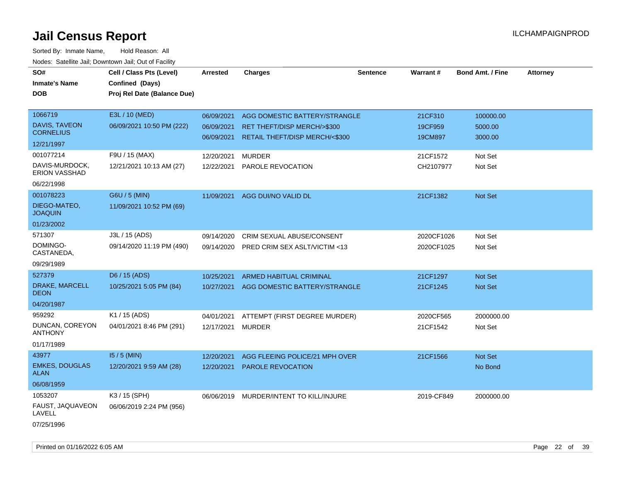| SO#<br><b>Inmate's Name</b><br><b>DOB</b>                         | Cell / Class Pts (Level)<br>Confined (Days)<br>Proj Rel Date (Balance Due) | <b>Arrested</b>                        | <b>Charges</b>                                                                                 | <b>Sentence</b> | <b>Warrant#</b>               | <b>Bond Amt. / Fine</b>         | <b>Attorney</b> |
|-------------------------------------------------------------------|----------------------------------------------------------------------------|----------------------------------------|------------------------------------------------------------------------------------------------|-----------------|-------------------------------|---------------------------------|-----------------|
| 1066719<br>DAVIS, TAVEON<br><b>CORNELIUS</b><br>12/21/1997        | E3L / 10 (MED)<br>06/09/2021 10:50 PM (222)                                | 06/09/2021<br>06/09/2021<br>06/09/2021 | AGG DOMESTIC BATTERY/STRANGLE<br>RET THEFT/DISP MERCH/>\$300<br>RETAIL THEFT/DISP MERCH/<\$300 |                 | 21CF310<br>19CF959<br>19CM897 | 100000.00<br>5000.00<br>3000.00 |                 |
| 001077214<br>DAVIS-MURDOCK,<br><b>ERION VASSHAD</b><br>06/22/1998 | F9U / 15 (MAX)<br>12/21/2021 10:13 AM (27)                                 | 12/20/2021<br>12/22/2021               | <b>MURDER</b><br>PAROLE REVOCATION                                                             |                 | 21CF1572<br>CH2107977         | Not Set<br>Not Set              |                 |
| 001078223<br>DIEGO-MATEO,<br><b>JOAQUIN</b><br>01/23/2002         | G6U / 5 (MIN)<br>11/09/2021 10:52 PM (69)                                  | 11/09/2021                             | AGG DUI/NO VALID DL                                                                            |                 | 21CF1382                      | Not Set                         |                 |
| 571307<br>DOMINGO-<br>CASTANEDA,<br>09/29/1989                    | J3L / 15 (ADS)<br>09/14/2020 11:19 PM (490)                                | 09/14/2020<br>09/14/2020               | CRIM SEXUAL ABUSE/CONSENT<br>PRED CRIM SEX ASLT/VICTIM <13                                     |                 | 2020CF1026<br>2020CF1025      | Not Set<br>Not Set              |                 |
| 527379<br>DRAKE, MARCELL<br><b>DEON</b><br>04/20/1987             | D6 / 15 (ADS)<br>10/25/2021 5:05 PM (84)                                   | 10/25/2021<br>10/27/2021               | <b>ARMED HABITUAL CRIMINAL</b><br>AGG DOMESTIC BATTERY/STRANGLE                                |                 | 21CF1297<br>21CF1245          | <b>Not Set</b><br>Not Set       |                 |
| 959292<br>DUNCAN, COREYON<br><b>ANTHONY</b><br>01/17/1989         | K1 / 15 (ADS)<br>04/01/2021 8:46 PM (291)                                  | 04/01/2021<br>12/17/2021               | ATTEMPT (FIRST DEGREE MURDER)<br><b>MURDER</b>                                                 |                 | 2020CF565<br>21CF1542         | 2000000.00<br>Not Set           |                 |
| 43977<br><b>EMKES, DOUGLAS</b><br><b>ALAN</b><br>06/08/1959       | $15/5$ (MIN)<br>12/20/2021 9:59 AM (28)                                    | 12/20/2021<br>12/20/2021               | AGG FLEEING POLICE/21 MPH OVER<br>PAROLE REVOCATION                                            |                 | 21CF1566                      | Not Set<br>No Bond              |                 |
| 1053207<br>FAUST, JAQUAVEON<br>LAVELL<br>07/25/1996               | K3 / 15 (SPH)<br>06/06/2019 2:24 PM (956)                                  |                                        | 06/06/2019 MURDER/INTENT TO KILL/INJURE                                                        |                 | 2019-CF849                    | 2000000.00                      |                 |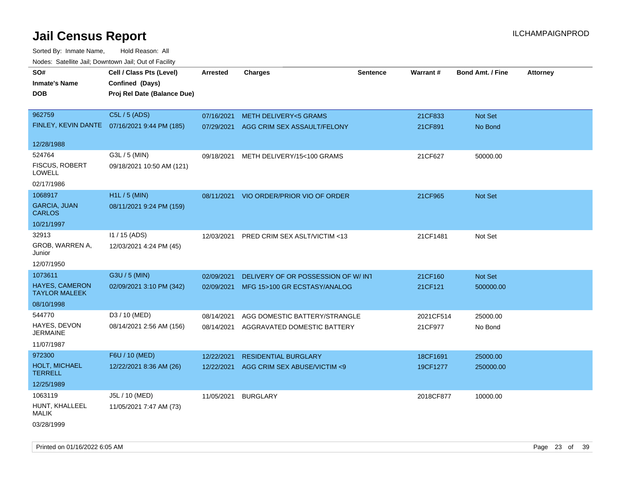Sorted By: Inmate Name, Hold Reason: All Nodes: Satellite Jail; Downtown Jail; Out of Facility

| rougs. Calcinic Jan, Downtown Jan, Out of Facility |                                              |                 |                                         |                 |           |                         |                 |
|----------------------------------------------------|----------------------------------------------|-----------------|-----------------------------------------|-----------------|-----------|-------------------------|-----------------|
| SO#                                                | Cell / Class Pts (Level)                     | <b>Arrested</b> | <b>Charges</b>                          | <b>Sentence</b> | Warrant#  | <b>Bond Amt. / Fine</b> | <b>Attorney</b> |
| <b>Inmate's Name</b>                               | Confined (Days)                              |                 |                                         |                 |           |                         |                 |
| <b>DOB</b>                                         | Proj Rel Date (Balance Due)                  |                 |                                         |                 |           |                         |                 |
|                                                    |                                              |                 |                                         |                 |           |                         |                 |
| 962759                                             | C5L / 5 (ADS)                                | 07/16/2021      | <b>METH DELIVERY&lt;5 GRAMS</b>         |                 | 21CF833   | Not Set                 |                 |
|                                                    | FINLEY, KEVIN DANTE 07/16/2021 9:44 PM (185) |                 | 07/29/2021 AGG CRIM SEX ASSAULT/FELONY  |                 | 21CF891   | No Bond                 |                 |
|                                                    |                                              |                 |                                         |                 |           |                         |                 |
| 12/28/1988                                         |                                              |                 |                                         |                 |           |                         |                 |
| 524764                                             | G3L / 5 (MIN)                                | 09/18/2021      | METH DELIVERY/15<100 GRAMS              |                 | 21CF627   | 50000.00                |                 |
| <b>FISCUS, ROBERT</b><br><b>LOWELL</b>             | 09/18/2021 10:50 AM (121)                    |                 |                                         |                 |           |                         |                 |
| 02/17/1986                                         |                                              |                 |                                         |                 |           |                         |                 |
| 1068917                                            | H1L / 5 (MIN)                                |                 | 08/11/2021 VIO ORDER/PRIOR VIO OF ORDER |                 | 21CF965   | Not Set                 |                 |
| <b>GARCIA, JUAN</b><br><b>CARLOS</b>               | 08/11/2021 9:24 PM (159)                     |                 |                                         |                 |           |                         |                 |
| 10/21/1997                                         |                                              |                 |                                         |                 |           |                         |                 |
| 32913                                              | $11 / 15$ (ADS)                              | 12/03/2021      | PRED CRIM SEX ASLT/VICTIM <13           |                 | 21CF1481  | Not Set                 |                 |
| GROB, WARREN A,<br>Junior                          | 12/03/2021 4:24 PM (45)                      |                 |                                         |                 |           |                         |                 |
| 12/07/1950                                         |                                              |                 |                                         |                 |           |                         |                 |
| 1073611                                            | G3U / 5 (MIN)                                | 02/09/2021      | DELIVERY OF OR POSSESSION OF W/INT      |                 | 21CF160   | Not Set                 |                 |
| <b>HAYES, CAMERON</b><br><b>TAYLOR MALEEK</b>      | 02/09/2021 3:10 PM (342)                     |                 | 02/09/2021 MFG 15>100 GR ECSTASY/ANALOG |                 | 21CF121   | 500000.00               |                 |
| 08/10/1998                                         |                                              |                 |                                         |                 |           |                         |                 |
| 544770                                             | D3 / 10 (MED)                                | 08/14/2021      | AGG DOMESTIC BATTERY/STRANGLE           |                 | 2021CF514 | 25000.00                |                 |
| HAYES, DEVON<br><b>JERMAINE</b>                    | 08/14/2021 2:56 AM (156)                     | 08/14/2021      | AGGRAVATED DOMESTIC BATTERY             |                 | 21CF977   | No Bond                 |                 |
| 11/07/1987                                         |                                              |                 |                                         |                 |           |                         |                 |
| 972300                                             | F6U / 10 (MED)                               | 12/22/2021      | <b>RESIDENTIAL BURGLARY</b>             |                 | 18CF1691  | 25000.00                |                 |
| HOLT, MICHAEL<br><b>TERRELL</b>                    | 12/22/2021 8:36 AM (26)                      | 12/22/2021      | AGG CRIM SEX ABUSE/VICTIM <9            |                 | 19CF1277  | 250000.00               |                 |
| 12/25/1989                                         |                                              |                 |                                         |                 |           |                         |                 |
| 1063119                                            | J5L / 10 (MED)                               | 11/05/2021      | <b>BURGLARY</b>                         |                 | 2018CF877 | 10000.00                |                 |
| HUNT, KHALLEEL<br>MALIK                            | 11/05/2021 7:47 AM (73)                      |                 |                                         |                 |           |                         |                 |
| 03/28/1999                                         |                                              |                 |                                         |                 |           |                         |                 |

Printed on 01/16/2022 6:05 AM Page 23 of 39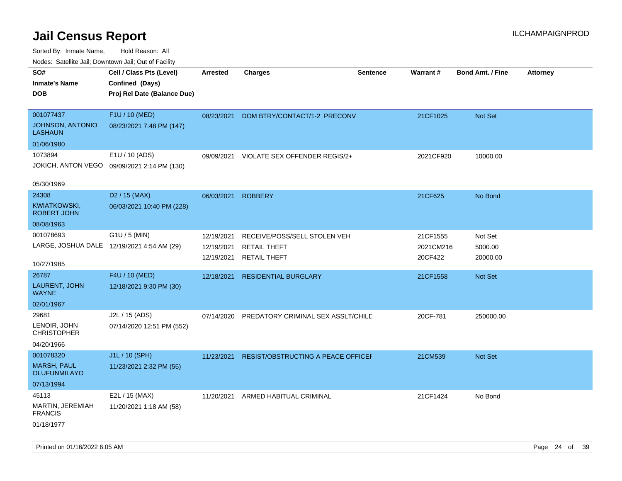| indues. Satellite Jali, Downtown Jali, Out of Facility |                                             |            |                                    |                 |           |                         |                 |
|--------------------------------------------------------|---------------------------------------------|------------|------------------------------------|-----------------|-----------|-------------------------|-----------------|
| SO#                                                    | Cell / Class Pts (Level)                    | Arrested   | <b>Charges</b>                     | <b>Sentence</b> | Warrant#  | <b>Bond Amt. / Fine</b> | <b>Attorney</b> |
| <b>Inmate's Name</b>                                   | Confined (Days)                             |            |                                    |                 |           |                         |                 |
| <b>DOB</b>                                             | Proj Rel Date (Balance Due)                 |            |                                    |                 |           |                         |                 |
|                                                        |                                             |            |                                    |                 |           |                         |                 |
| 001077437                                              | F1U / 10 (MED)                              | 08/23/2021 | DOM BTRY/CONTACT/1-2 PRECONV       |                 | 21CF1025  | Not Set                 |                 |
| <b>JOHNSON, ANTONIO</b><br><b>LASHAUN</b>              | 08/23/2021 7:48 PM (147)                    |            |                                    |                 |           |                         |                 |
| 01/06/1980                                             |                                             |            |                                    |                 |           |                         |                 |
| 1073894                                                | E1U / 10 (ADS)                              | 09/09/2021 | VIOLATE SEX OFFENDER REGIS/2+      |                 | 2021CF920 | 10000.00                |                 |
|                                                        | JOKICH, ANTON VEGO 09/09/2021 2:14 PM (130) |            |                                    |                 |           |                         |                 |
|                                                        |                                             |            |                                    |                 |           |                         |                 |
| 05/30/1969                                             |                                             |            |                                    |                 |           |                         |                 |
| 24308                                                  | D <sub>2</sub> / 15 (MAX)                   | 06/03/2021 | <b>ROBBERY</b>                     |                 | 21CF625   | No Bond                 |                 |
| KWIATKOWSKI,<br><b>ROBERT JOHN</b>                     | 06/03/2021 10:40 PM (228)                   |            |                                    |                 |           |                         |                 |
| 08/08/1963                                             |                                             |            |                                    |                 |           |                         |                 |
| 001078693                                              | $G1U / 5$ (MIN)                             | 12/19/2021 | RECEIVE/POSS/SELL STOLEN VEH       |                 | 21CF1555  | Not Set                 |                 |
| LARGE, JOSHUA DALE 12/19/2021 4:54 AM (29)             |                                             | 12/19/2021 | <b>RETAIL THEFT</b>                |                 | 2021CM216 | 5000.00                 |                 |
|                                                        |                                             | 12/19/2021 | <b>RETAIL THEFT</b>                |                 | 20CF422   | 20000.00                |                 |
| 10/27/1985                                             |                                             |            |                                    |                 |           |                         |                 |
| 26787                                                  | F4U / 10 (MED)                              | 12/18/2021 | <b>RESIDENTIAL BURGLARY</b>        |                 | 21CF1558  | <b>Not Set</b>          |                 |
| LAURENT, JOHN<br><b>WAYNE</b>                          | 12/18/2021 9:30 PM (30)                     |            |                                    |                 |           |                         |                 |
| 02/01/1967                                             |                                             |            |                                    |                 |           |                         |                 |
| 29681                                                  | J2L / 15 (ADS)                              | 07/14/2020 | PREDATORY CRIMINAL SEX ASSLT/CHILD |                 | 20CF-781  | 250000.00               |                 |
| LENOIR, JOHN<br><b>CHRISTOPHER</b>                     | 07/14/2020 12:51 PM (552)                   |            |                                    |                 |           |                         |                 |
| 04/20/1966                                             |                                             |            |                                    |                 |           |                         |                 |
| 001078320                                              | J1L / 10 (SPH)                              | 11/23/2021 | RESIST/OBSTRUCTING A PEACE OFFICEF |                 | 21CM539   | Not Set                 |                 |
| <b>MARSH, PAUL</b><br><b>OLUFUNMILAYO</b>              | 11/23/2021 2:32 PM (55)                     |            |                                    |                 |           |                         |                 |
| 07/13/1994                                             |                                             |            |                                    |                 |           |                         |                 |
| 45113                                                  | E2L / 15 (MAX)                              | 11/20/2021 | ARMED HABITUAL CRIMINAL            |                 | 21CF1424  | No Bond                 |                 |
| MARTIN, JEREMIAH<br><b>FRANCIS</b>                     | 11/20/2021 1:18 AM (58)                     |            |                                    |                 |           |                         |                 |
| 01/18/1977                                             |                                             |            |                                    |                 |           |                         |                 |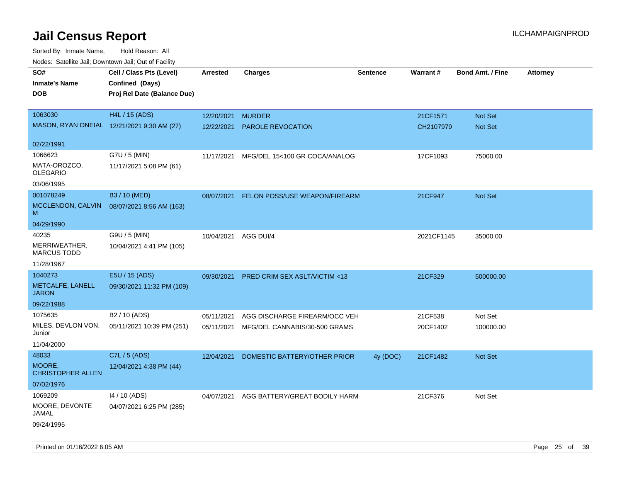Sorted By: Inmate Name, Hold Reason: All Nodes: Satellite Jail; Downtown Jail; Out of Facility

| ivouss. Saleling Jali, Downtown Jali, Out of Facility |                             |                      |                                          |                 |            |                         |                 |
|-------------------------------------------------------|-----------------------------|----------------------|------------------------------------------|-----------------|------------|-------------------------|-----------------|
| SO#                                                   | Cell / Class Pts (Level)    | Arrested             | <b>Charges</b>                           | <b>Sentence</b> | Warrant#   | <b>Bond Amt. / Fine</b> | <b>Attorney</b> |
| <b>Inmate's Name</b>                                  | Confined (Days)             |                      |                                          |                 |            |                         |                 |
| <b>DOB</b>                                            | Proj Rel Date (Balance Due) |                      |                                          |                 |            |                         |                 |
|                                                       |                             |                      |                                          |                 |            |                         |                 |
| 1063030                                               | H4L / 15 (ADS)              | 12/20/2021           | <b>MURDER</b>                            |                 | 21CF1571   | Not Set                 |                 |
| MASON, RYAN ONEIAL 12/21/2021 9:30 AM (27)            |                             | 12/22/2021           | <b>PAROLE REVOCATION</b>                 |                 | CH2107979  | <b>Not Set</b>          |                 |
|                                                       |                             |                      |                                          |                 |            |                         |                 |
| 02/22/1991                                            |                             |                      |                                          |                 |            |                         |                 |
| 1066623                                               | G7U / 5 (MIN)               | 11/17/2021           | MFG/DEL 15<100 GR COCA/ANALOG            |                 | 17CF1093   | 75000.00                |                 |
| MATA-OROZCO,<br><b>OLEGARIO</b>                       | 11/17/2021 5:08 PM (61)     |                      |                                          |                 |            |                         |                 |
|                                                       |                             |                      |                                          |                 |            |                         |                 |
| 03/06/1995                                            |                             |                      |                                          |                 |            |                         |                 |
| 001078249                                             | B3 / 10 (MED)               | 08/07/2021           | FELON POSS/USE WEAPON/FIREARM            |                 | 21CF947    | Not Set                 |                 |
| MCCLENDON, CALVIN<br>м                                | 08/07/2021 8:56 AM (163)    |                      |                                          |                 |            |                         |                 |
| 04/29/1990                                            |                             |                      |                                          |                 |            |                         |                 |
| 40235                                                 | G9U / 5 (MIN)               | 10/04/2021 AGG DUI/4 |                                          |                 | 2021CF1145 | 35000.00                |                 |
| MERRIWEATHER,<br><b>MARCUS TODD</b>                   | 10/04/2021 4:41 PM (105)    |                      |                                          |                 |            |                         |                 |
| 11/28/1967                                            |                             |                      |                                          |                 |            |                         |                 |
| 1040273                                               | E5U / 15 (ADS)              | 09/30/2021           | PRED CRIM SEX ASLT/VICTIM <13            |                 | 21CF329    | 500000.00               |                 |
| METCALFE, LANELL<br><b>JARON</b>                      | 09/30/2021 11:32 PM (109)   |                      |                                          |                 |            |                         |                 |
| 09/22/1988                                            |                             |                      |                                          |                 |            |                         |                 |
| 1075635                                               | B2 / 10 (ADS)               | 05/11/2021           | AGG DISCHARGE FIREARM/OCC VEH            |                 | 21CF538    | Not Set                 |                 |
| MILES, DEVLON VON,<br>Junior                          | 05/11/2021 10:39 PM (251)   | 05/11/2021           | MFG/DEL CANNABIS/30-500 GRAMS            |                 | 20CF1402   | 100000.00               |                 |
| 11/04/2000                                            |                             |                      |                                          |                 |            |                         |                 |
| 48033                                                 | C7L / 5 (ADS)               | 12/04/2021           | DOMESTIC BATTERY/OTHER PRIOR             | 4y (DOC)        | 21CF1482   | <b>Not Set</b>          |                 |
| MOORE,<br><b>CHRISTOPHER ALLEN</b>                    | 12/04/2021 4:38 PM (44)     |                      |                                          |                 |            |                         |                 |
| 07/02/1976                                            |                             |                      |                                          |                 |            |                         |                 |
| 1069209                                               | 14 / 10 (ADS)               |                      | 04/07/2021 AGG BATTERY/GREAT BODILY HARM |                 | 21CF376    | Not Set                 |                 |
| MOORE, DEVONTE<br>JAMAL                               | 04/07/2021 6:25 PM (285)    |                      |                                          |                 |            |                         |                 |
| 09/24/1995                                            |                             |                      |                                          |                 |            |                         |                 |

Printed on 01/16/2022 6:05 AM Page 25 of 39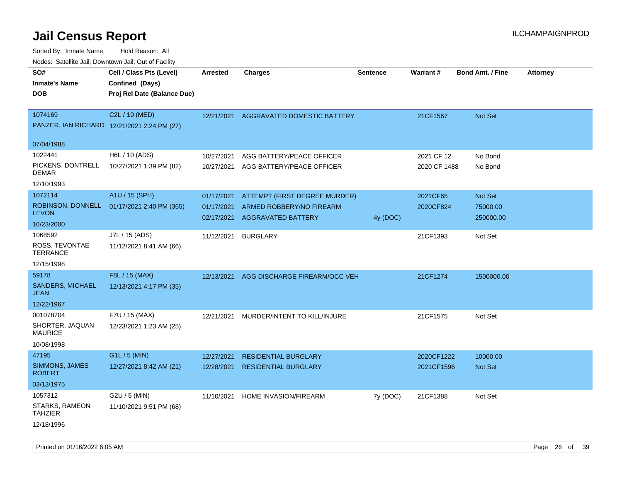| rougs. Calcing Jan, Downtown Jan, Out of Facility            |                                                                            |                                        |                                                                                        |          |                            |                                         |                 |
|--------------------------------------------------------------|----------------------------------------------------------------------------|----------------------------------------|----------------------------------------------------------------------------------------|----------|----------------------------|-----------------------------------------|-----------------|
| SO#<br><b>Inmate's Name</b><br><b>DOB</b>                    | Cell / Class Pts (Level)<br>Confined (Days)<br>Proj Rel Date (Balance Due) | <b>Arrested</b>                        | <b>Charges</b>                                                                         | Sentence | Warrant#                   | <b>Bond Amt. / Fine</b>                 | <b>Attorney</b> |
| 1074169<br>PANZER, IAN RICHARD 12/21/2021 2:24 PM (27)       | C2L / 10 (MED)                                                             |                                        | 12/21/2021 AGGRAVATED DOMESTIC BATTERY                                                 |          | 21CF1567                   | Not Set                                 |                 |
| 07/04/1988                                                   |                                                                            |                                        |                                                                                        |          |                            |                                         |                 |
| 1022441<br>PICKENS, DONTRELL<br><b>DEMAR</b><br>12/10/1993   | H6L / 10 (ADS)<br>10/27/2021 1:39 PM (82)                                  | 10/27/2021<br>10/27/2021               | AGG BATTERY/PEACE OFFICER<br>AGG BATTERY/PEACE OFFICER                                 |          | 2021 CF 12<br>2020 CF 1488 | No Bond<br>No Bond                      |                 |
| 1072114<br><b>LEVON</b><br>10/23/2000                        | A1U / 15 (SPH)<br>ROBINSON, DONNELL 01/17/2021 2:40 PM (365)               | 01/17/2021<br>01/17/2021<br>02/17/2021 | ATTEMPT (FIRST DEGREE MURDER)<br>ARMED ROBBERY/NO FIREARM<br><b>AGGRAVATED BATTERY</b> | 4y (DOC) | 2021CF65<br>2020CF824      | <b>Not Set</b><br>75000.00<br>250000.00 |                 |
| 1068592<br>ROSS, TEVONTAE<br><b>TERRANCE</b><br>12/15/1998   | J7L / 15 (ADS)<br>11/12/2021 8:41 AM (66)                                  | 11/12/2021                             | <b>BURGLARY</b>                                                                        |          | 21CF1393                   | Not Set                                 |                 |
| 59178<br><b>SANDERS, MICHAEL</b><br>JEAN<br>12/22/1967       | F8L / 15 (MAX)<br>12/13/2021 4:17 PM (35)                                  | 12/13/2021                             | AGG DISCHARGE FIREARM/OCC VEH                                                          |          | 21CF1274                   | 1500000.00                              |                 |
| 001078704<br>SHORTER, JAQUAN<br><b>MAURICE</b><br>10/08/1998 | F7U / 15 (MAX)<br>12/23/2021 1:23 AM (25)                                  | 12/21/2021                             | MURDER/INTENT TO KILL/INJURE                                                           |          | 21CF1575                   | Not Set                                 |                 |
| 47195<br>SIMMONS, JAMES<br><b>ROBERT</b><br>03/13/1975       | G1L / 5 (MIN)<br>12/27/2021 8:42 AM (21)                                   | 12/27/2021<br>12/28/2021               | <b>RESIDENTIAL BURGLARY</b><br><b>RESIDENTIAL BURGLARY</b>                             |          | 2020CF1222<br>2021CF1596   | 10000.00<br><b>Not Set</b>              |                 |
| 1057312<br>STARKS, RAMEON<br>TAHZIER<br>12/18/1996           | $G2U / 5$ (MIN)<br>11/10/2021 9:51 PM (68)                                 | 11/10/2021                             | <b>HOME INVASION/FIREARM</b>                                                           | 7y (DOC) | 21CF1388                   | Not Set                                 |                 |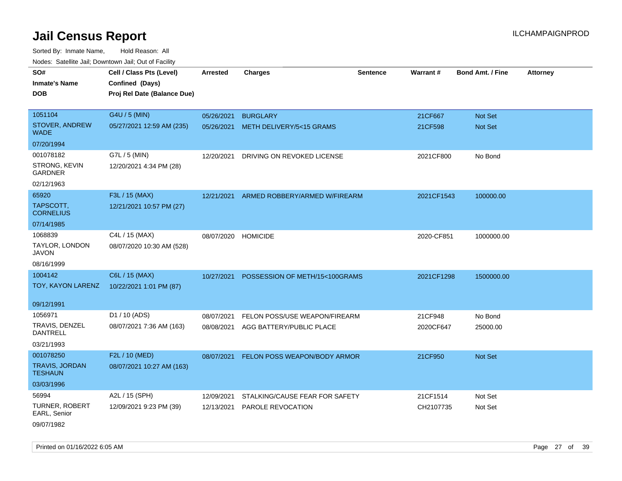Sorted By: Inmate Name, Hold Reason: All Nodes: Satellite Jail; Downtown Jail; Out of Facility

| rougs. Calcing Jan, Downtown Jan, Out of Facility |                                                                            |                 |                                |                 |                 |                         |                 |
|---------------------------------------------------|----------------------------------------------------------------------------|-----------------|--------------------------------|-----------------|-----------------|-------------------------|-----------------|
| SO#<br><b>Inmate's Name</b><br><b>DOB</b>         | Cell / Class Pts (Level)<br>Confined (Days)<br>Proj Rel Date (Balance Due) | <b>Arrested</b> | <b>Charges</b>                 | <b>Sentence</b> | <b>Warrant#</b> | <b>Bond Amt. / Fine</b> | <b>Attorney</b> |
| 1051104                                           | G4U / 5 (MIN)                                                              | 05/26/2021      | <b>BURGLARY</b>                |                 | 21CF667         | Not Set                 |                 |
| <b>STOVER, ANDREW</b><br>WADE                     | 05/27/2021 12:59 AM (235)                                                  | 05/26/2021      | METH DELIVERY/5<15 GRAMS       |                 | 21CF598         | Not Set                 |                 |
| 07/20/1994                                        |                                                                            |                 |                                |                 |                 |                         |                 |
| 001078182                                         | G7L / 5 (MIN)                                                              | 12/20/2021      | DRIVING ON REVOKED LICENSE     |                 | 2021CF800       | No Bond                 |                 |
| STRONG, KEVIN<br>GARDNER                          | 12/20/2021 4:34 PM (28)                                                    |                 |                                |                 |                 |                         |                 |
| 02/12/1963                                        |                                                                            |                 |                                |                 |                 |                         |                 |
| 65920                                             | F3L / 15 (MAX)                                                             | 12/21/2021      | ARMED ROBBERY/ARMED W/FIREARM  |                 | 2021CF1543      | 100000.00               |                 |
| TAPSCOTT,<br><b>CORNELIUS</b>                     | 12/21/2021 10:57 PM (27)                                                   |                 |                                |                 |                 |                         |                 |
| 07/14/1985                                        |                                                                            |                 |                                |                 |                 |                         |                 |
| 1068839                                           | C4L / 15 (MAX)                                                             | 08/07/2020      | <b>HOMICIDE</b>                |                 | 2020-CF851      | 1000000.00              |                 |
| TAYLOR, LONDON<br>JAVON                           | 08/07/2020 10:30 AM (528)                                                  |                 |                                |                 |                 |                         |                 |
| 08/16/1999                                        |                                                                            |                 |                                |                 |                 |                         |                 |
| 1004142                                           | C6L / 15 (MAX)                                                             | 10/27/2021      | POSSESSION OF METH/15<100GRAMS |                 | 2021CF1298      | 1500000.00              |                 |
| TOY, KAYON LARENZ                                 | 10/22/2021 1:01 PM (87)                                                    |                 |                                |                 |                 |                         |                 |
| 09/12/1991                                        |                                                                            |                 |                                |                 |                 |                         |                 |
| 1056971                                           | D1 / 10 (ADS)                                                              | 08/07/2021      | FELON POSS/USE WEAPON/FIREARM  |                 | 21CF948         | No Bond                 |                 |
| TRAVIS, DENZEL<br>DANTRELL                        | 08/07/2021 7:36 AM (163)                                                   | 08/08/2021      | AGG BATTERY/PUBLIC PLACE       |                 | 2020CF647       | 25000.00                |                 |
| 03/21/1993                                        |                                                                            |                 |                                |                 |                 |                         |                 |
| 001078250                                         | F2L / 10 (MED)                                                             | 08/07/2021      | FELON POSS WEAPON/BODY ARMOR   |                 | 21CF950         | Not Set                 |                 |
| TRAVIS, JORDAN<br><b>TESHAUN</b>                  | 08/07/2021 10:27 AM (163)                                                  |                 |                                |                 |                 |                         |                 |
| 03/03/1996                                        |                                                                            |                 |                                |                 |                 |                         |                 |
| 56994                                             | A2L / 15 (SPH)                                                             | 12/09/2021      | STALKING/CAUSE FEAR FOR SAFETY |                 | 21CF1514        | Not Set                 |                 |
| <b>TURNER, ROBERT</b><br>EARL, Senior             | 12/09/2021 9:23 PM (39)                                                    | 12/13/2021      | PAROLE REVOCATION              |                 | CH2107735       | Not Set                 |                 |
| $0.010 - 11000$                                   |                                                                            |                 |                                |                 |                 |                         |                 |

09/07/1982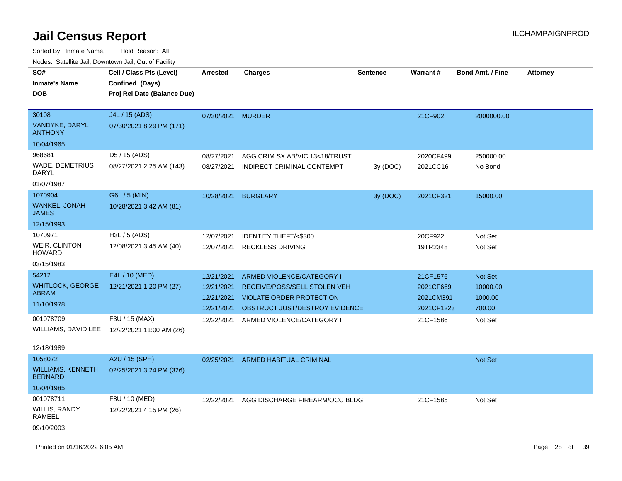Sorted By: Inmate Name, Hold Reason: All Nodes: Satellite Jail; Downtown Jail; Out of Facility

| Nodes: Satellite Jail; Downtown Jail; Out of Facility |                             |                   |                                 |                 |            |                         |                 |
|-------------------------------------------------------|-----------------------------|-------------------|---------------------------------|-----------------|------------|-------------------------|-----------------|
| SO#                                                   | Cell / Class Pts (Level)    | <b>Arrested</b>   | <b>Charges</b>                  | <b>Sentence</b> | Warrant#   | <b>Bond Amt. / Fine</b> | <b>Attorney</b> |
| <b>Inmate's Name</b>                                  | Confined (Days)             |                   |                                 |                 |            |                         |                 |
| <b>DOB</b>                                            | Proj Rel Date (Balance Due) |                   |                                 |                 |            |                         |                 |
|                                                       |                             |                   |                                 |                 |            |                         |                 |
| 30108                                                 | J4L / 15 (ADS)              | 07/30/2021 MURDER |                                 |                 | 21CF902    | 2000000.00              |                 |
| VANDYKE, DARYL<br><b>ANTHONY</b>                      | 07/30/2021 8:29 PM (171)    |                   |                                 |                 |            |                         |                 |
| 10/04/1965                                            |                             |                   |                                 |                 |            |                         |                 |
| 968681                                                | D5 / 15 (ADS)               | 08/27/2021        | AGG CRIM SX AB/VIC 13<18/TRUST  |                 | 2020CF499  | 250000.00               |                 |
| WADE, DEMETRIUS<br><b>DARYL</b>                       | 08/27/2021 2:25 AM (143)    | 08/27/2021        | INDIRECT CRIMINAL CONTEMPT      | 3y (DOC)        | 2021CC16   | No Bond                 |                 |
| 01/07/1987                                            |                             |                   |                                 |                 |            |                         |                 |
| 1070904                                               | G6L / 5 (MIN)               | 10/28/2021        | <b>BURGLARY</b>                 | 3y (DOC)        | 2021CF321  | 15000.00                |                 |
| WANKEL, JONAH<br><b>JAMES</b>                         | 10/28/2021 3:42 AM (81)     |                   |                                 |                 |            |                         |                 |
| 12/15/1993                                            |                             |                   |                                 |                 |            |                         |                 |
| 1070971                                               | H3L / 5 (ADS)               | 12/07/2021        | <b>IDENTITY THEFT/&lt;\$300</b> |                 | 20CF922    | Not Set                 |                 |
| <b>WEIR, CLINTON</b><br><b>HOWARD</b>                 | 12/08/2021 3:45 AM (40)     | 12/07/2021        | <b>RECKLESS DRIVING</b>         |                 | 19TR2348   | Not Set                 |                 |
| 03/15/1983                                            |                             |                   |                                 |                 |            |                         |                 |
| 54212                                                 | E4L / 10 (MED)              | 12/21/2021        | ARMED VIOLENCE/CATEGORY I       |                 | 21CF1576   | Not Set                 |                 |
| <b>WHITLOCK, GEORGE</b>                               | 12/21/2021 1:20 PM (27)     | 12/21/2021        | RECEIVE/POSS/SELL STOLEN VEH    |                 | 2021CF669  | 10000.00                |                 |
| <b>ABRAM</b>                                          |                             | 12/21/2021        | <b>VIOLATE ORDER PROTECTION</b> |                 | 2021CM391  | 1000.00                 |                 |
| 11/10/1978                                            |                             | 12/21/2021        | OBSTRUCT JUST/DESTROY EVIDENCE  |                 | 2021CF1223 | 700.00                  |                 |
| 001078709                                             | F3U / 15 (MAX)              | 12/22/2021        | ARMED VIOLENCE/CATEGORY I       |                 | 21CF1586   | Not Set                 |                 |
| WILLIAMS, DAVID LEE                                   | 12/22/2021 11:00 AM (26)    |                   |                                 |                 |            |                         |                 |
|                                                       |                             |                   |                                 |                 |            |                         |                 |
| 12/18/1989                                            |                             |                   |                                 |                 |            |                         |                 |
| 1058072                                               | A2U / 15 (SPH)              | 02/25/2021        | ARMED HABITUAL CRIMINAL         |                 |            | Not Set                 |                 |
| <b>WILLIAMS, KENNETH</b><br><b>BERNARD</b>            | 02/25/2021 3:24 PM (326)    |                   |                                 |                 |            |                         |                 |
| 10/04/1985                                            |                             |                   |                                 |                 |            |                         |                 |
| 001078711                                             | F8U / 10 (MED)              | 12/22/2021        | AGG DISCHARGE FIREARM/OCC BLDG  |                 | 21CF1585   | Not Set                 |                 |
| <b>WILLIS, RANDY</b><br><b>RAMEEL</b>                 | 12/22/2021 4:15 PM (26)     |                   |                                 |                 |            |                         |                 |

09/10/2003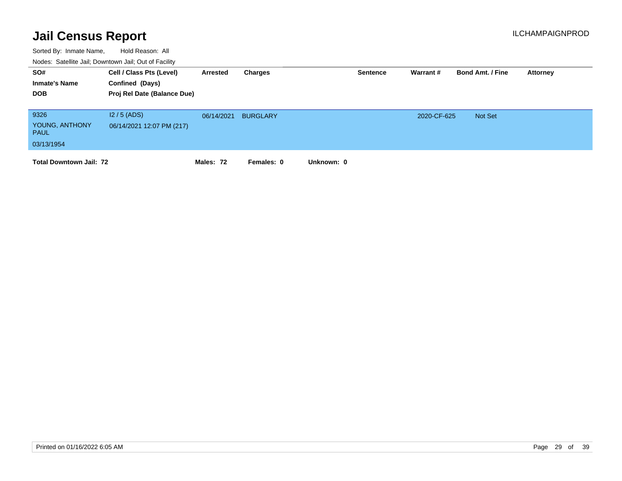| SO#<br><b>Inmate's Name</b><br><b>DOB</b>           | Cell / Class Pts (Level)<br>Confined (Days)<br>Proj Rel Date (Balance Due) | Arrested   | Charges         | <b>Sentence</b> | Warrant#    | <b>Bond Amt. / Fine</b> | Attorney |
|-----------------------------------------------------|----------------------------------------------------------------------------|------------|-----------------|-----------------|-------------|-------------------------|----------|
| 9326<br>YOUNG, ANTHONY<br><b>PAUL</b><br>03/13/1954 | $12/5$ (ADS)<br>06/14/2021 12:07 PM (217)                                  | 06/14/2021 | <b>BURGLARY</b> |                 | 2020-CF-625 | Not Set                 |          |
| <b>Total Downtown Jail: 72</b>                      |                                                                            | Males: 72  | Females: 0      | Unknown: 0      |             |                         |          |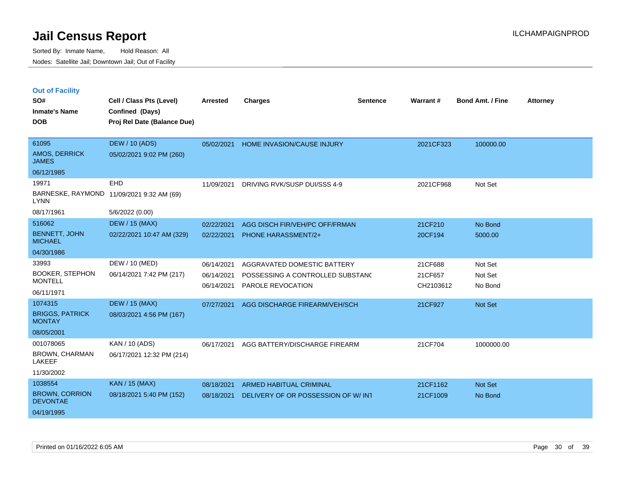|  |  | <b>Out of Facility</b> |
|--|--|------------------------|
|  |  |                        |

| SO#<br><b>Inmate's Name</b><br><b>DOB</b>                         | Cell / Class Pts (Level)<br>Confined (Days)<br>Proj Rel Date (Balance Due) | <b>Arrested</b>                        | <b>Charges</b>                                                                       | <b>Sentence</b> | <b>Warrant#</b>                 | <b>Bond Amt. / Fine</b>       | <b>Attorney</b> |
|-------------------------------------------------------------------|----------------------------------------------------------------------------|----------------------------------------|--------------------------------------------------------------------------------------|-----------------|---------------------------------|-------------------------------|-----------------|
| 61095<br>AMOS, DERRICK<br><b>JAMES</b><br>06/12/1985              | <b>DEW / 10 (ADS)</b><br>05/02/2021 9:02 PM (260)                          | 05/02/2021                             | <b>HOME INVASION/CAUSE INJURY</b>                                                    |                 | 2021CF323                       | 100000.00                     |                 |
| 19971<br><b>LYNN</b><br>08/17/1961                                | EHD<br>BARNESKE, RAYMOND 11/09/2021 9:32 AM (69)<br>5/6/2022 (0.00)        | 11/09/2021                             | DRIVING RVK/SUSP DUI/SSS 4-9                                                         |                 | 2021CF968                       | Not Set                       |                 |
| 516062<br><b>BENNETT, JOHN</b><br><b>MICHAEL</b><br>04/30/1986    | <b>DEW / 15 (MAX)</b><br>02/22/2021 10:47 AM (329)                         | 02/22/2021<br>02/22/2021               | AGG DISCH FIR/VEH/PC OFF/FRMAN<br>PHONE HARASSMENT/2+                                |                 | 21CF210<br>20CF194              | No Bond<br>5000.00            |                 |
| 33993<br><b>BOOKER, STEPHON</b><br><b>MONTELL</b><br>06/11/1971   | DEW / 10 (MED)<br>06/14/2021 7:42 PM (217)                                 | 06/14/2021<br>06/14/2021<br>06/14/2021 | AGGRAVATED DOMESTIC BATTERY<br>POSSESSING A CONTROLLED SUBSTAND<br>PAROLE REVOCATION |                 | 21CF688<br>21CF657<br>CH2103612 | Not Set<br>Not Set<br>No Bond |                 |
| 1074315<br><b>BRIGGS, PATRICK</b><br><b>MONTAY</b><br>08/05/2001  | <b>DEW / 15 (MAX)</b><br>08/03/2021 4:56 PM (167)                          | 07/27/2021                             | AGG DISCHARGE FIREARM/VEH/SCH                                                        |                 | 21CF927                         | Not Set                       |                 |
| 001078065<br><b>BROWN, CHARMAN</b><br><b>LAKEEF</b><br>11/30/2002 | KAN / 10 (ADS)<br>06/17/2021 12:32 PM (214)                                | 06/17/2021                             | AGG BATTERY/DISCHARGE FIREARM                                                        |                 | 21CF704                         | 1000000.00                    |                 |
| 1038554<br><b>BROWN, CORRION</b><br><b>DEVONTAE</b><br>04/19/1995 | <b>KAN / 15 (MAX)</b><br>08/18/2021 5:40 PM (152)                          | 08/18/2021<br>08/18/2021               | <b>ARMED HABITUAL CRIMINAL</b><br>DELIVERY OF OR POSSESSION OF W/ INT                |                 | 21CF1162<br>21CF1009            | Not Set<br>No Bond            |                 |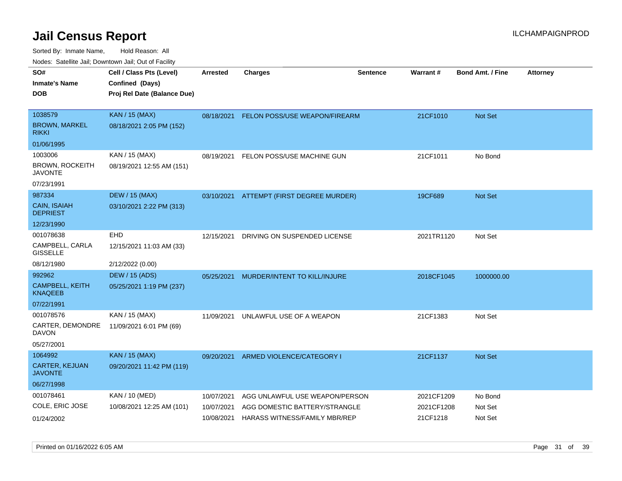| rouco. Calcillo Jali, Downtown Jali, Out of Facility |                             |                 |                                          |                 |            |                         |                 |
|------------------------------------------------------|-----------------------------|-----------------|------------------------------------------|-----------------|------------|-------------------------|-----------------|
| SO#                                                  | Cell / Class Pts (Level)    | <b>Arrested</b> | <b>Charges</b>                           | <b>Sentence</b> | Warrant#   | <b>Bond Amt. / Fine</b> | <b>Attorney</b> |
| Inmate's Name                                        | Confined (Days)             |                 |                                          |                 |            |                         |                 |
| DOB                                                  | Proj Rel Date (Balance Due) |                 |                                          |                 |            |                         |                 |
|                                                      |                             |                 |                                          |                 |            |                         |                 |
| 1038579                                              | <b>KAN / 15 (MAX)</b>       |                 | 08/18/2021 FELON POSS/USE WEAPON/FIREARM |                 | 21CF1010   | <b>Not Set</b>          |                 |
| BROWN, MARKEL<br>rikki                               | 08/18/2021 2:05 PM (152)    |                 |                                          |                 |            |                         |                 |
| 01/06/1995                                           |                             |                 |                                          |                 |            |                         |                 |
| 1003006                                              | KAN / 15 (MAX)              | 08/19/2021      | FELON POSS/USE MACHINE GUN               |                 | 21CF1011   | No Bond                 |                 |
| <b>BROWN, ROCKEITH</b><br>JAVONTE                    | 08/19/2021 12:55 AM (151)   |                 |                                          |                 |            |                         |                 |
| 07/23/1991                                           |                             |                 |                                          |                 |            |                         |                 |
| 987334                                               | <b>DEW / 15 (MAX)</b>       |                 | 03/10/2021 ATTEMPT (FIRST DEGREE MURDER) |                 | 19CF689    | <b>Not Set</b>          |                 |
| CAIN, ISAIAH<br><b>DEPRIEST</b>                      | 03/10/2021 2:22 PM (313)    |                 |                                          |                 |            |                         |                 |
| 12/23/1990                                           |                             |                 |                                          |                 |            |                         |                 |
| 001078638                                            | <b>EHD</b>                  | 12/15/2021      | DRIVING ON SUSPENDED LICENSE             |                 | 2021TR1120 | Not Set                 |                 |
| CAMPBELL, CARLA<br><b>GISSELLE</b>                   | 12/15/2021 11:03 AM (33)    |                 |                                          |                 |            |                         |                 |
| 08/12/1980                                           | 2/12/2022 (0.00)            |                 |                                          |                 |            |                         |                 |
| 992962                                               | <b>DEW / 15 (ADS)</b>       | 05/25/2021      | MURDER/INTENT TO KILL/INJURE             |                 | 2018CF1045 | 1000000.00              |                 |
| <b>CAMPBELL, KEITH</b><br>KNAQEEB                    | 05/25/2021 1:19 PM (237)    |                 |                                          |                 |            |                         |                 |
| 07/22/1991                                           |                             |                 |                                          |                 |            |                         |                 |
| 001078576                                            | KAN / 15 (MAX)              | 11/09/2021      | UNLAWFUL USE OF A WEAPON                 |                 | 21CF1383   | Not Set                 |                 |
| CARTER, DEMONDRE<br>DAVON                            | 11/09/2021 6:01 PM (69)     |                 |                                          |                 |            |                         |                 |
| 05/27/2001                                           |                             |                 |                                          |                 |            |                         |                 |
| 1064992                                              | <b>KAN / 15 (MAX)</b>       | 09/20/2021      | ARMED VIOLENCE/CATEGORY I                |                 | 21CF1137   | <b>Not Set</b>          |                 |
| CARTER, KEJUAN<br>JAVONTE                            | 09/20/2021 11:42 PM (119)   |                 |                                          |                 |            |                         |                 |
| 06/27/1998                                           |                             |                 |                                          |                 |            |                         |                 |
| 001078461                                            | KAN / 10 (MED)              | 10/07/2021      | AGG UNLAWFUL USE WEAPON/PERSON           |                 | 2021CF1209 | No Bond                 |                 |
| COLE, ERIC JOSE                                      | 10/08/2021 12:25 AM (101)   | 10/07/2021      | AGG DOMESTIC BATTERY/STRANGLE            |                 | 2021CF1208 | Not Set                 |                 |
| 01/24/2002                                           |                             | 10/08/2021      | HARASS WITNESS/FAMILY MBR/REP            |                 | 21CF1218   | Not Set                 |                 |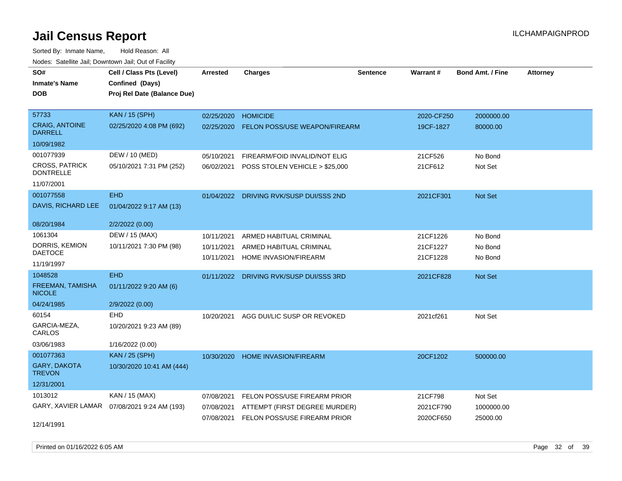| rouce. Calcinic Jan, Downtown Jan, Out or Facility |                                              |                 |                                         |                 |            |                         |                 |
|----------------------------------------------------|----------------------------------------------|-----------------|-----------------------------------------|-----------------|------------|-------------------------|-----------------|
| SO#                                                | Cell / Class Pts (Level)                     | <b>Arrested</b> | <b>Charges</b>                          | <b>Sentence</b> | Warrant#   | <b>Bond Amt. / Fine</b> | <b>Attorney</b> |
| <b>Inmate's Name</b>                               | Confined (Days)                              |                 |                                         |                 |            |                         |                 |
| <b>DOB</b>                                         | Proj Rel Date (Balance Due)                  |                 |                                         |                 |            |                         |                 |
|                                                    |                                              |                 |                                         |                 |            |                         |                 |
| 57733                                              | <b>KAN / 15 (SPH)</b>                        | 02/25/2020      | <b>HOMICIDE</b>                         |                 | 2020-CF250 | 2000000.00              |                 |
| <b>CRAIG, ANTOINE</b><br><b>DARRELL</b>            | 02/25/2020 4:08 PM (692)                     | 02/25/2020      | <b>FELON POSS/USE WEAPON/FIREARM</b>    |                 | 19CF-1827  | 80000.00                |                 |
| 10/09/1982                                         |                                              |                 |                                         |                 |            |                         |                 |
| 001077939                                          | DEW / 10 (MED)                               | 05/10/2021      | FIREARM/FOID INVALID/NOT ELIG           |                 | 21CF526    | No Bond                 |                 |
| <b>CROSS, PATRICK</b><br><b>DONTRELLE</b>          | 05/10/2021 7:31 PM (252)                     | 06/02/2021      | POSS STOLEN VEHICLE > \$25,000          |                 | 21CF612    | Not Set                 |                 |
| 11/07/2001                                         |                                              |                 |                                         |                 |            |                         |                 |
| 001077558                                          | <b>EHD</b>                                   |                 | 01/04/2022 DRIVING RVK/SUSP DUI/SSS 2ND |                 | 2021CF301  | Not Set                 |                 |
| DAVIS, RICHARD LEE                                 | 01/04/2022 9:17 AM (13)                      |                 |                                         |                 |            |                         |                 |
| 08/20/1984                                         | 2/2/2022 (0.00)                              |                 |                                         |                 |            |                         |                 |
| 1061304                                            | DEW / 15 (MAX)                               | 10/11/2021      | ARMED HABITUAL CRIMINAL                 |                 | 21CF1226   | No Bond                 |                 |
| DORRIS, KEMION                                     | 10/11/2021 7:30 PM (98)                      | 10/11/2021      | ARMED HABITUAL CRIMINAL                 |                 | 21CF1227   | No Bond                 |                 |
| <b>DAETOCE</b>                                     |                                              | 10/11/2021      | HOME INVASION/FIREARM                   |                 | 21CF1228   | No Bond                 |                 |
| 11/19/1997                                         |                                              |                 |                                         |                 |            |                         |                 |
| 1048528                                            | <b>EHD</b>                                   |                 | 01/11/2022 DRIVING RVK/SUSP DUI/SSS 3RD |                 | 2021CF828  | Not Set                 |                 |
| FREEMAN, TAMISHA<br><b>NICOLE</b>                  | 01/11/2022 9:20 AM (6)                       |                 |                                         |                 |            |                         |                 |
| 04/24/1985                                         | 2/9/2022 (0.00)                              |                 |                                         |                 |            |                         |                 |
| 60154                                              | <b>EHD</b>                                   | 10/20/2021      | AGG DUI/LIC SUSP OR REVOKED             |                 | 2021cf261  | Not Set                 |                 |
| GARCIA-MEZA,<br>CARLOS                             | 10/20/2021 9:23 AM (89)                      |                 |                                         |                 |            |                         |                 |
| 03/06/1983                                         | 1/16/2022 (0.00)                             |                 |                                         |                 |            |                         |                 |
| 001077363                                          | <b>KAN / 25 (SPH)</b>                        | 10/30/2020      | <b>HOME INVASION/FIREARM</b>            |                 | 20CF1202   | 500000.00               |                 |
| <b>GARY, DAKOTA</b><br><b>TREVON</b>               | 10/30/2020 10:41 AM (444)                    |                 |                                         |                 |            |                         |                 |
| 12/31/2001                                         |                                              |                 |                                         |                 |            |                         |                 |
| 1013012                                            | KAN / 15 (MAX)                               | 07/08/2021      | FELON POSS/USE FIREARM PRIOR            |                 | 21CF798    | Not Set                 |                 |
|                                                    | GARY, XAVIER LAMAR  07/08/2021 9:24 AM (193) | 07/08/2021      | ATTEMPT (FIRST DEGREE MURDER)           |                 | 2021CF790  | 1000000.00              |                 |
|                                                    |                                              | 07/08/2021      | FELON POSS/USE FIREARM PRIOR            |                 | 2020CF650  | 25000.00                |                 |
| 12/14/1991                                         |                                              |                 |                                         |                 |            |                         |                 |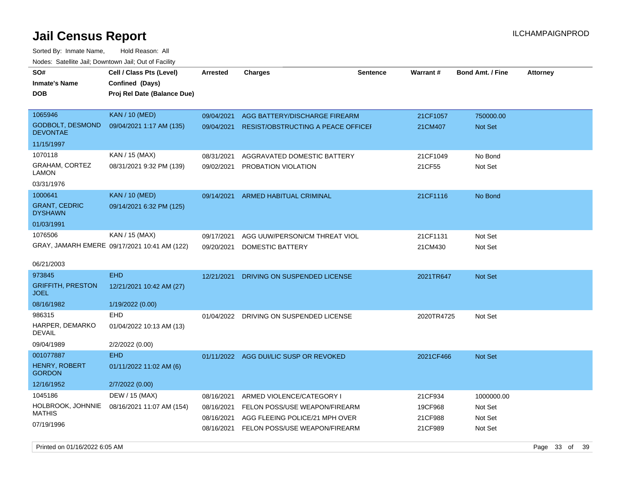Sorted By: Inmate Name, Hold Reason: All Nodes: Satellite Jail; Downtown Jail; Out of Facility

| rouce. Calcinic Jan, Downtown Jan, Out or Facility                  |                                                                            |                                                      |                                                                                                                               |                 |                                          |                                             |                 |
|---------------------------------------------------------------------|----------------------------------------------------------------------------|------------------------------------------------------|-------------------------------------------------------------------------------------------------------------------------------|-----------------|------------------------------------------|---------------------------------------------|-----------------|
| SO#<br>Inmate's Name<br><b>DOB</b>                                  | Cell / Class Pts (Level)<br>Confined (Days)<br>Proj Rel Date (Balance Due) | <b>Arrested</b>                                      | <b>Charges</b>                                                                                                                | <b>Sentence</b> | Warrant#                                 | <b>Bond Amt. / Fine</b>                     | <b>Attorney</b> |
| 1065946<br><b>GODBOLT, DESMOND</b><br><b>DEVONTAE</b><br>11/15/1997 | <b>KAN / 10 (MED)</b><br>09/04/2021 1:17 AM (135)                          | 09/04/2021<br>09/04/2021                             | AGG BATTERY/DISCHARGE FIREARM<br>RESIST/OBSTRUCTING A PEACE OFFICEF                                                           |                 | 21CF1057<br>21CM407                      | 750000.00<br>Not Set                        |                 |
| 1070118<br>GRAHAM, CORTEZ<br>LAMON<br>03/31/1976                    | KAN / 15 (MAX)<br>08/31/2021 9:32 PM (139)                                 | 08/31/2021<br>09/02/2021                             | AGGRAVATED DOMESTIC BATTERY<br>PROBATION VIOLATION                                                                            |                 | 21CF1049<br>21CF55                       | No Bond<br>Not Set                          |                 |
| 1000641<br><b>GRANT, CEDRIC</b><br><b>DYSHAWN</b><br>01/03/1991     | <b>KAN / 10 (MED)</b><br>09/14/2021 6:32 PM (125)                          | 09/14/2021                                           | ARMED HABITUAL CRIMINAL                                                                                                       |                 | 21CF1116                                 | No Bond                                     |                 |
| 1076506<br>06/21/2003                                               | KAN / 15 (MAX)<br>GRAY, JAMARH EMERE 09/17/2021 10:41 AM (122)             | 09/17/2021<br>09/20/2021                             | AGG UUW/PERSON/CM THREAT VIOL<br>DOMESTIC BATTERY                                                                             |                 | 21CF1131<br>21CM430                      | Not Set<br>Not Set                          |                 |
| 973845<br><b>GRIFFITH, PRESTON</b><br><b>JOEL</b><br>08/16/1982     | <b>EHD</b><br>12/21/2021 10:42 AM (27)<br>1/19/2022 (0.00)                 | 12/21/2021                                           | DRIVING ON SUSPENDED LICENSE                                                                                                  |                 | 2021TR647                                | <b>Not Set</b>                              |                 |
| 986315<br>HARPER, DEMARKO<br><b>DEVAIL</b><br>09/04/1989            | EHD<br>01/04/2022 10:13 AM (13)<br>2/2/2022 (0.00)                         | 01/04/2022                                           | DRIVING ON SUSPENDED LICENSE                                                                                                  |                 | 2020TR4725                               | Not Set                                     |                 |
| 001077887<br>HENRY, ROBERT<br><b>GORDON</b><br>12/16/1952           | <b>EHD</b><br>01/11/2022 11:02 AM (6)<br>2/7/2022 (0.00)                   |                                                      | 01/11/2022 AGG DUI/LIC SUSP OR REVOKED                                                                                        |                 | 2021CF466                                | <b>Not Set</b>                              |                 |
| 1045186<br>HOLBROOK, JOHNNIE<br><b>MATHIS</b><br>07/19/1996         | DEW / 15 (MAX)<br>08/16/2021 11:07 AM (154)                                | 08/16/2021<br>08/16/2021<br>08/16/2021<br>08/16/2021 | ARMED VIOLENCE/CATEGORY I<br>FELON POSS/USE WEAPON/FIREARM<br>AGG FLEEING POLICE/21 MPH OVER<br>FELON POSS/USE WEAPON/FIREARM |                 | 21CF934<br>19CF968<br>21CF988<br>21CF989 | 1000000.00<br>Not Set<br>Not Set<br>Not Set |                 |

Printed on 01/16/2022 6:05 AM **Page 33** of 39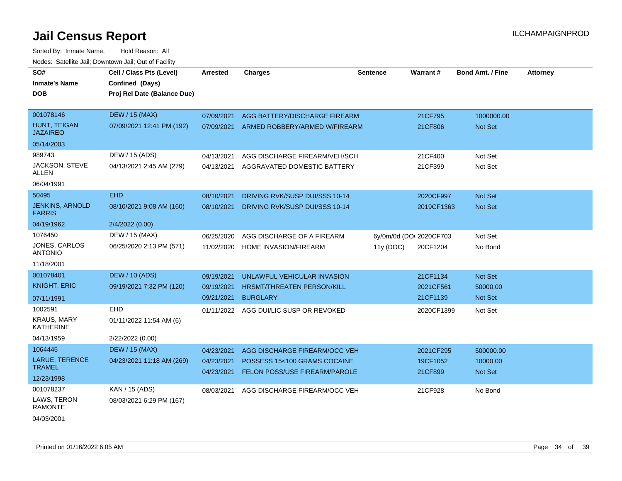| SO#<br><b>Inmate's Name</b><br><b>DOB</b> | Cell / Class Pts (Level)<br>Confined (Days)<br>Proj Rel Date (Balance Due) | Arrested                 | <b>Charges</b>                                                | <b>Sentence</b> | <b>Warrant#</b>         | <b>Bond Amt. / Fine</b> | <b>Attorney</b> |
|-------------------------------------------|----------------------------------------------------------------------------|--------------------------|---------------------------------------------------------------|-----------------|-------------------------|-------------------------|-----------------|
| 001078146                                 | <b>DEW / 15 (MAX)</b>                                                      | 07/09/2021               | AGG BATTERY/DISCHARGE FIREARM                                 |                 | 21CF795                 | 1000000.00              |                 |
| HUNT, TEIGAN<br><b>JAZAIREO</b>           | 07/09/2021 12:41 PM (192)                                                  | 07/09/2021               | ARMED ROBBERY/ARMED W/FIREARM                                 |                 | 21CF806                 | <b>Not Set</b>          |                 |
| 05/14/2003                                |                                                                            |                          |                                                               |                 |                         |                         |                 |
| 989743                                    | DEW / 15 (ADS)                                                             | 04/13/2021               | AGG DISCHARGE FIREARM/VEH/SCH                                 |                 | 21CF400                 | Not Set                 |                 |
| JACKSON, STEVE<br>ALLEN                   | 04/13/2021 2:45 AM (279)                                                   | 04/13/2021               | AGGRAVATED DOMESTIC BATTERY                                   |                 | 21CF399                 | Not Set                 |                 |
| 06/04/1991                                |                                                                            |                          |                                                               |                 |                         |                         |                 |
| 50495                                     | <b>EHD</b>                                                                 | 08/10/2021               | DRIVING RVK/SUSP DUI/SSS 10-14                                |                 | 2020CF997               | <b>Not Set</b>          |                 |
| <b>JENKINS, ARNOLD</b><br><b>FARRIS</b>   | 08/10/2021 9:08 AM (160)                                                   | 08/10/2021               | DRIVING RVK/SUSP DUI/SSS 10-14                                |                 | 2019CF1363              | <b>Not Set</b>          |                 |
| 04/19/1962                                | 2/4/2022 (0.00)                                                            |                          |                                                               |                 |                         |                         |                 |
| 1076450                                   | DEW / 15 (MAX)                                                             | 06/25/2020               | AGG DISCHARGE OF A FIREARM                                    |                 | 6y/0m/0d (DOI 2020CF703 | Not Set                 |                 |
| JONES, CARLOS<br><b>ANTONIO</b>           | 06/25/2020 2:13 PM (571)                                                   | 11/02/2020               | HOME INVASION/FIREARM                                         | 11y (DOC)       | 20CF1204                | No Bond                 |                 |
| 11/18/2001                                |                                                                            |                          |                                                               |                 |                         |                         |                 |
| 001078401                                 | <b>DEW / 10 (ADS)</b>                                                      | 09/19/2021               | UNLAWFUL VEHICULAR INVASION                                   |                 | 21CF1134                | Not Set                 |                 |
| <b>KNIGHT, ERIC</b>                       | 09/19/2021 7:32 PM (120)                                                   | 09/19/2021               | HRSMT/THREATEN PERSON/KILL                                    |                 | 2021CF561               | 50000.00                |                 |
| 07/11/1991                                |                                                                            | 09/21/2021               | <b>BURGLARY</b>                                               |                 | 21CF1139                | Not Set                 |                 |
| 1002591                                   | <b>EHD</b>                                                                 | 01/11/2022               | AGG DUI/LIC SUSP OR REVOKED                                   |                 | 2020CF1399              | Not Set                 |                 |
| <b>KRAUS, MARY</b><br><b>KATHERINE</b>    | 01/11/2022 11:54 AM (6)                                                    |                          |                                                               |                 |                         |                         |                 |
| 04/13/1959                                | 2/22/2022 (0.00)                                                           |                          |                                                               |                 |                         |                         |                 |
| 1064445                                   | <b>DEW / 15 (MAX)</b>                                                      | 04/23/2021               | AGG DISCHARGE FIREARM/OCC VEH                                 |                 | 2021CF295               | 500000.00               |                 |
| LARUE, TERENCE<br><b>TRAMEL</b>           | 04/23/2021 11:18 AM (269)                                                  | 04/23/2021<br>04/23/2021 | POSSESS 15<100 GRAMS COCAINE<br>FELON POSS/USE FIREARM/PAROLE |                 | 19CF1052<br>21CF899     | 10000.00<br>Not Set     |                 |
| 12/23/1998                                |                                                                            |                          |                                                               |                 |                         |                         |                 |
| 001078237                                 | KAN / 15 (ADS)                                                             | 08/03/2021               | AGG DISCHARGE FIREARM/OCC VEH                                 |                 | 21CF928                 | No Bond                 |                 |
| LAWS, TERON<br><b>RAMONTE</b>             | 08/03/2021 6:29 PM (167)                                                   |                          |                                                               |                 |                         |                         |                 |
| 04/03/2001                                |                                                                            |                          |                                                               |                 |                         |                         |                 |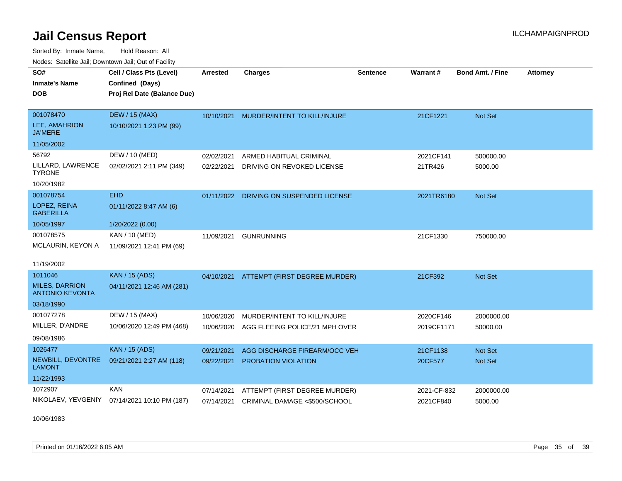Sorted By: Inmate Name, Hold Reason: All Nodes: Satellite Jail; Downtown Jail; Out of Facility

| SO#                                             | Cell / Class Pts (Level)                     | Arrested   | <b>Charges</b>                           | <b>Sentence</b> | Warrant#    | <b>Bond Amt. / Fine</b> | <b>Attorney</b> |
|-------------------------------------------------|----------------------------------------------|------------|------------------------------------------|-----------------|-------------|-------------------------|-----------------|
| <b>Inmate's Name</b>                            | Confined (Days)                              |            |                                          |                 |             |                         |                 |
| <b>DOB</b>                                      | Proj Rel Date (Balance Due)                  |            |                                          |                 |             |                         |                 |
|                                                 |                                              |            |                                          |                 |             |                         |                 |
| 001078470                                       | <b>DEW / 15 (MAX)</b>                        | 10/10/2021 | MURDER/INTENT TO KILL/INJURE             |                 | 21CF1221    | <b>Not Set</b>          |                 |
| LEE, AMAHRION<br><b>JA'MERE</b>                 | 10/10/2021 1:23 PM (99)                      |            |                                          |                 |             |                         |                 |
| 11/05/2002                                      |                                              |            |                                          |                 |             |                         |                 |
| 56792                                           | DEW / 10 (MED)                               | 02/02/2021 | ARMED HABITUAL CRIMINAL                  |                 | 2021CF141   | 500000.00               |                 |
| LILLARD, LAWRENCE<br><b>TYRONE</b>              | 02/02/2021 2:11 PM (349)                     | 02/22/2021 | DRIVING ON REVOKED LICENSE               |                 | 21TR426     | 5000.00                 |                 |
| 10/20/1982                                      |                                              |            |                                          |                 |             |                         |                 |
| 001078754                                       | <b>EHD</b>                                   | 01/11/2022 | DRIVING ON SUSPENDED LICENSE             |                 | 2021TR6180  | Not Set                 |                 |
| LOPEZ, REINA<br><b>GABERILLA</b>                | 01/11/2022 8:47 AM (6)                       |            |                                          |                 |             |                         |                 |
| 10/05/1997                                      | 1/20/2022 (0.00)                             |            |                                          |                 |             |                         |                 |
| 001078575                                       | <b>KAN / 10 (MED)</b>                        | 11/09/2021 | <b>GUNRUNNING</b>                        |                 | 21CF1330    | 750000.00               |                 |
| <b>MCLAURIN, KEYON A</b>                        | 11/09/2021 12:41 PM (69)                     |            |                                          |                 |             |                         |                 |
| 11/19/2002                                      |                                              |            |                                          |                 |             |                         |                 |
| 1011046                                         | <b>KAN / 15 (ADS)</b>                        |            | 04/10/2021 ATTEMPT (FIRST DEGREE MURDER) |                 | 21CF392     | Not Set                 |                 |
| <b>MILES, DARRION</b><br><b>ANTONIO KEVONTA</b> | 04/11/2021 12:46 AM (281)                    |            |                                          |                 |             |                         |                 |
| 03/18/1990                                      |                                              |            |                                          |                 |             |                         |                 |
| 001077278                                       | DEW / 15 (MAX)                               | 10/06/2020 | MURDER/INTENT TO KILL/INJURE             |                 | 2020CF146   | 2000000.00              |                 |
| MILLER, D'ANDRE                                 | 10/06/2020 12:49 PM (468)                    | 10/06/2020 | AGG FLEEING POLICE/21 MPH OVER           |                 | 2019CF1171  | 50000.00                |                 |
| 09/08/1986                                      |                                              |            |                                          |                 |             |                         |                 |
| 1026477                                         | <b>KAN / 15 (ADS)</b>                        | 09/21/2021 | AGG DISCHARGE FIREARM/OCC VEH            |                 | 21CF1138    | <b>Not Set</b>          |                 |
| NEWBILL, DEVONTRE<br><b>LAMONT</b>              | 09/21/2021 2:27 AM (118)                     | 09/22/2021 | <b>PROBATION VIOLATION</b>               |                 | 20CF577     | Not Set                 |                 |
| 11/22/1993                                      |                                              |            |                                          |                 |             |                         |                 |
| 1072907                                         | <b>KAN</b>                                   | 07/14/2021 | ATTEMPT (FIRST DEGREE MURDER)            |                 | 2021-CF-832 | 2000000.00              |                 |
|                                                 | NIKOLAEV, YEVGENIY 07/14/2021 10:10 PM (187) | 07/14/2021 | CRIMINAL DAMAGE <\$500/SCHOOL            |                 | 2021CF840   | 5000.00                 |                 |

10/06/1983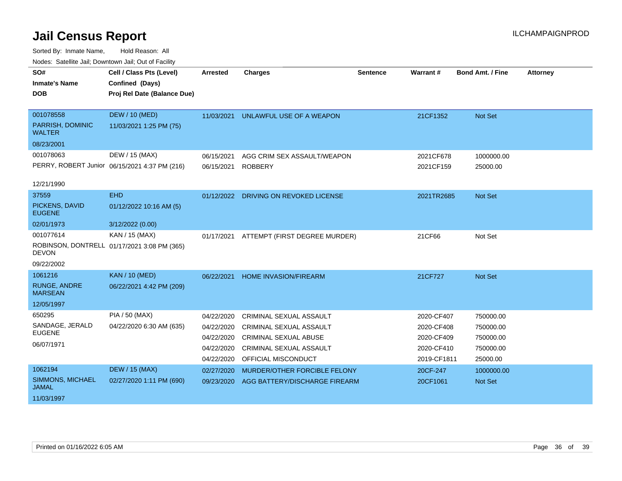| vodos. Catolino can, Downtown can, Out of Fability |                                               |                 |                                       |                 |             |                         |                 |
|----------------------------------------------------|-----------------------------------------------|-----------------|---------------------------------------|-----------------|-------------|-------------------------|-----------------|
| SO#                                                | Cell / Class Pts (Level)                      | <b>Arrested</b> | <b>Charges</b>                        | <b>Sentence</b> | Warrant#    | <b>Bond Amt. / Fine</b> | <b>Attorney</b> |
| <b>Inmate's Name</b>                               | Confined (Days)                               |                 |                                       |                 |             |                         |                 |
| <b>DOB</b>                                         | Proj Rel Date (Balance Due)                   |                 |                                       |                 |             |                         |                 |
|                                                    |                                               |                 |                                       |                 |             |                         |                 |
| 001078558                                          | <b>DEW / 10 (MED)</b>                         | 11/03/2021      | UNLAWFUL USE OF A WEAPON              |                 | 21CF1352    | Not Set                 |                 |
| PARRISH, DOMINIC<br><b>WALTER</b>                  | 11/03/2021 1:25 PM (75)                       |                 |                                       |                 |             |                         |                 |
| 08/23/2001                                         |                                               |                 |                                       |                 |             |                         |                 |
| 001078063                                          | DEW / 15 (MAX)                                | 06/15/2021      | AGG CRIM SEX ASSAULT/WEAPON           |                 | 2021CF678   | 1000000.00              |                 |
|                                                    | PERRY, ROBERT Junior 06/15/2021 4:37 PM (216) | 06/15/2021      | <b>ROBBERY</b>                        |                 | 2021CF159   | 25000.00                |                 |
|                                                    |                                               |                 |                                       |                 |             |                         |                 |
| 12/21/1990                                         |                                               |                 |                                       |                 |             |                         |                 |
| 37559                                              | <b>EHD</b>                                    |                 | 01/12/2022 DRIVING ON REVOKED LICENSE |                 | 2021TR2685  | Not Set                 |                 |
| PICKENS, DAVID<br><b>EUGENE</b>                    | 01/12/2022 10:16 AM (5)                       |                 |                                       |                 |             |                         |                 |
| 02/01/1973                                         | 3/12/2022 (0.00)                              |                 |                                       |                 |             |                         |                 |
| 001077614                                          | KAN / 15 (MAX)                                | 01/17/2021      | ATTEMPT (FIRST DEGREE MURDER)         |                 | 21CF66      | Not Set                 |                 |
| <b>DEVON</b>                                       | ROBINSON, DONTRELL 01/17/2021 3:08 PM (365)   |                 |                                       |                 |             |                         |                 |
| 09/22/2002                                         |                                               |                 |                                       |                 |             |                         |                 |
| 1061216                                            | <b>KAN / 10 (MED)</b>                         | 06/22/2021      | HOME INVASION/FIREARM                 |                 | 21CF727     | Not Set                 |                 |
| <b>RUNGE, ANDRE</b><br><b>MARSEAN</b>              | 06/22/2021 4:42 PM (209)                      |                 |                                       |                 |             |                         |                 |
| 12/05/1997                                         |                                               |                 |                                       |                 |             |                         |                 |
| 650295                                             | <b>PIA / 50 (MAX)</b>                         | 04/22/2020      | CRIMINAL SEXUAL ASSAULT               |                 | 2020-CF407  | 750000.00               |                 |
| SANDAGE, JERALD                                    | 04/22/2020 6:30 AM (635)                      | 04/22/2020      | <b>CRIMINAL SEXUAL ASSAULT</b>        |                 | 2020-CF408  | 750000.00               |                 |
| <b>EUGENE</b>                                      |                                               | 04/22/2020      | <b>CRIMINAL SEXUAL ABUSE</b>          |                 | 2020-CF409  | 750000.00               |                 |
| 06/07/1971                                         |                                               | 04/22/2020      | <b>CRIMINAL SEXUAL ASSAULT</b>        |                 | 2020-CF410  | 750000.00               |                 |
|                                                    |                                               | 04/22/2020      | OFFICIAL MISCONDUCT                   |                 | 2019-CF1811 | 25000.00                |                 |
| 1062194                                            | <b>DEW / 15 (MAX)</b>                         | 02/27/2020      | MURDER/OTHER FORCIBLE FELONY          |                 | 20CF-247    | 1000000.00              |                 |
| SIMMONS, MICHAEL<br><b>JAMAL</b>                   | 02/27/2020 1:11 PM (690)                      | 09/23/2020      | AGG BATTERY/DISCHARGE FIREARM         |                 | 20CF1061    | <b>Not Set</b>          |                 |
| 11/03/1997                                         |                                               |                 |                                       |                 |             |                         |                 |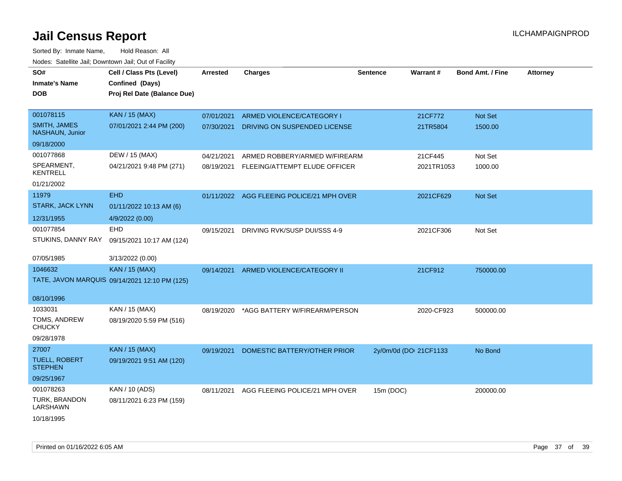| SO#<br><b>Inmate's Name</b><br><b>DOB</b> | Cell / Class Pts (Level)<br>Confined (Days)<br>Proj Rel Date (Balance Due) | <b>Arrested</b> | <b>Charges</b>                 | <b>Sentence</b>        | Warrant#   | <b>Bond Amt. / Fine</b> | <b>Attorney</b> |
|-------------------------------------------|----------------------------------------------------------------------------|-----------------|--------------------------------|------------------------|------------|-------------------------|-----------------|
| 001078115                                 | <b>KAN / 15 (MAX)</b>                                                      | 07/01/2021      | ARMED VIOLENCE/CATEGORY I      |                        | 21CF772    | Not Set                 |                 |
| <b>SMITH, JAMES</b><br>NASHAUN, Junior    | 07/01/2021 2:44 PM (200)                                                   | 07/30/2021      | DRIVING ON SUSPENDED LICENSE   |                        | 21TR5804   | 1500.00                 |                 |
| 09/18/2000                                |                                                                            |                 |                                |                        |            |                         |                 |
| 001077868                                 | DEW / 15 (MAX)                                                             | 04/21/2021      | ARMED ROBBERY/ARMED W/FIREARM  |                        | 21CF445    | Not Set                 |                 |
| SPEARMENT,<br><b>KENTRELL</b>             | 04/21/2021 9:48 PM (271)                                                   | 08/19/2021      | FLEEING/ATTEMPT ELUDE OFFICER  |                        | 2021TR1053 | 1000.00                 |                 |
| 01/21/2002                                |                                                                            |                 |                                |                        |            |                         |                 |
| 11979                                     | <b>EHD</b>                                                                 | 01/11/2022      | AGG FLEEING POLICE/21 MPH OVER |                        | 2021CF629  | Not Set                 |                 |
| <b>STARK, JACK LYNN</b>                   | 01/11/2022 10:13 AM (6)                                                    |                 |                                |                        |            |                         |                 |
| 12/31/1955                                | 4/9/2022 (0.00)                                                            |                 |                                |                        |            |                         |                 |
| 001077854                                 | <b>EHD</b>                                                                 | 09/15/2021      | DRIVING RVK/SUSP DUI/SSS 4-9   |                        | 2021CF306  | Not Set                 |                 |
| STUKINS, DANNY RAY                        | 09/15/2021 10:17 AM (124)                                                  |                 |                                |                        |            |                         |                 |
| 07/05/1985                                | 3/13/2022 (0.00)                                                           |                 |                                |                        |            |                         |                 |
| 1046632                                   | <b>KAN / 15 (MAX)</b>                                                      | 09/14/2021      | ARMED VIOLENCE/CATEGORY II     |                        | 21CF912    | 750000.00               |                 |
|                                           | TATE, JAVON MARQUIS 09/14/2021 12:10 PM (125)                              |                 |                                |                        |            |                         |                 |
| 08/10/1996                                |                                                                            |                 |                                |                        |            |                         |                 |
| 1033031                                   | KAN / 15 (MAX)                                                             | 08/19/2020      | *AGG BATTERY W/FIREARM/PERSON  |                        | 2020-CF923 | 500000.00               |                 |
| TOMS, ANDREW<br><b>CHUCKY</b>             | 08/19/2020 5:59 PM (516)                                                   |                 |                                |                        |            |                         |                 |
| 09/28/1978                                |                                                                            |                 |                                |                        |            |                         |                 |
| 27007                                     | KAN / 15 (MAX)                                                             | 09/19/2021      | DOMESTIC BATTERY/OTHER PRIOR   | 2y/0m/0d (DOI 21CF1133 |            | No Bond                 |                 |
| <b>TUELL, ROBERT</b><br><b>STEPHEN</b>    | 09/19/2021 9:51 AM (120)                                                   |                 |                                |                        |            |                         |                 |
| 09/25/1967                                |                                                                            |                 |                                |                        |            |                         |                 |
| 001078263                                 | KAN / 10 (ADS)                                                             | 08/11/2021      | AGG FLEEING POLICE/21 MPH OVER | 15m (DOC)              |            | 200000.00               |                 |
| TURK, BRANDON<br>LARSHAWN                 | 08/11/2021 6:23 PM (159)                                                   |                 |                                |                        |            |                         |                 |
| 10/18/1995                                |                                                                            |                 |                                |                        |            |                         |                 |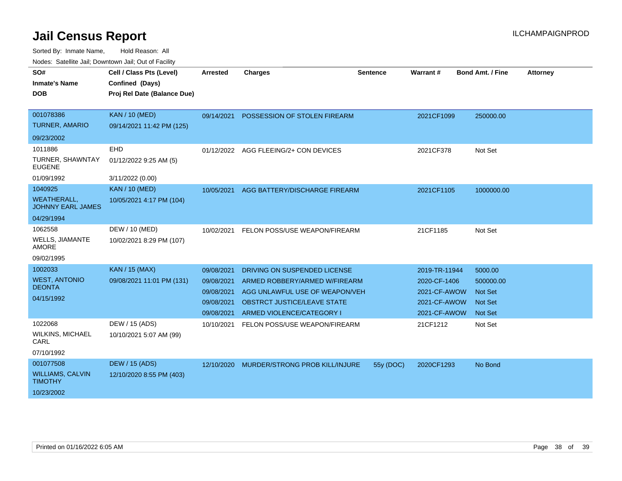| SO#<br><b>Inmate's Name</b>                    | Cell / Class Pts (Level)<br>Confined (Days) | <b>Arrested</b> | <b>Charges</b>                            | <b>Sentence</b> | Warrant#      | <b>Bond Amt. / Fine</b> | <b>Attorney</b> |
|------------------------------------------------|---------------------------------------------|-----------------|-------------------------------------------|-----------------|---------------|-------------------------|-----------------|
| <b>DOB</b>                                     | Proj Rel Date (Balance Due)                 |                 |                                           |                 |               |                         |                 |
| 001078386                                      | <b>KAN / 10 (MED)</b>                       |                 |                                           |                 |               |                         |                 |
| <b>TURNER, AMARIO</b>                          | 09/14/2021 11:42 PM (125)                   | 09/14/2021      | POSSESSION OF STOLEN FIREARM              |                 | 2021CF1099    | 250000.00               |                 |
| 09/23/2002                                     |                                             |                 |                                           |                 |               |                         |                 |
| 1011886                                        | EHD                                         |                 | 01/12/2022 AGG FLEEING/2+ CON DEVICES     |                 | 2021CF378     | Not Set                 |                 |
| TURNER, SHAWNTAY<br><b>EUGENE</b>              | 01/12/2022 9:25 AM (5)                      |                 |                                           |                 |               |                         |                 |
| 01/09/1992                                     | 3/11/2022 (0.00)                            |                 |                                           |                 |               |                         |                 |
| 1040925                                        | <b>KAN / 10 (MED)</b>                       | 10/05/2021      | AGG BATTERY/DISCHARGE FIREARM             |                 | 2021CF1105    | 1000000.00              |                 |
| <b>WEATHERALL,</b><br><b>JOHNNY EARL JAMES</b> | 10/05/2021 4:17 PM (104)                    |                 |                                           |                 |               |                         |                 |
| 04/29/1994                                     |                                             |                 |                                           |                 |               |                         |                 |
| 1062558                                        | DEW / 10 (MED)                              | 10/02/2021      | FELON POSS/USE WEAPON/FIREARM             |                 | 21CF1185      | Not Set                 |                 |
| <b>WELLS, JIAMANTE</b><br>AMORE                | 10/02/2021 8:29 PM (107)                    |                 |                                           |                 |               |                         |                 |
| 09/02/1995                                     |                                             |                 |                                           |                 |               |                         |                 |
| 1002033                                        | <b>KAN / 15 (MAX)</b>                       | 09/08/2021      | DRIVING ON SUSPENDED LICENSE              |                 | 2019-TR-11944 | 5000.00                 |                 |
| <b>WEST, ANTONIO</b>                           | 09/08/2021 11:01 PM (131)                   | 09/08/2021      | ARMED ROBBERY/ARMED W/FIREARM             |                 | 2020-CF-1406  | 500000.00               |                 |
| <b>DEONTA</b>                                  |                                             | 09/08/2021      | AGG UNLAWFUL USE OF WEAPON/VEH            |                 | 2021-CF-AWOW  | <b>Not Set</b>          |                 |
| 04/15/1992                                     |                                             | 09/08/2021      | OBSTRCT JUSTICE/LEAVE STATE               |                 | 2021-CF-AWOW  | <b>Not Set</b>          |                 |
|                                                |                                             | 09/08/2021      | ARMED VIOLENCE/CATEGORY I                 |                 | 2021-CF-AWOW  | Not Set                 |                 |
| 1022068                                        | DEW / 15 (ADS)                              | 10/10/2021      | FELON POSS/USE WEAPON/FIREARM             |                 | 21CF1212      | Not Set                 |                 |
| <b>WILKINS, MICHAEL</b><br>CARL                | 10/10/2021 5:07 AM (99)                     |                 |                                           |                 |               |                         |                 |
| 07/10/1992                                     |                                             |                 |                                           |                 |               |                         |                 |
| 001077508                                      | <b>DEW / 15 (ADS)</b>                       |                 | 12/10/2020 MURDER/STRONG PROB KILL/INJURE | 55y (DOC)       | 2020CF1293    | No Bond                 |                 |
| <b>WILLIAMS, CALVIN</b><br><b>TIMOTHY</b>      | 12/10/2020 8:55 PM (403)                    |                 |                                           |                 |               |                         |                 |
| 10/23/2002                                     |                                             |                 |                                           |                 |               |                         |                 |